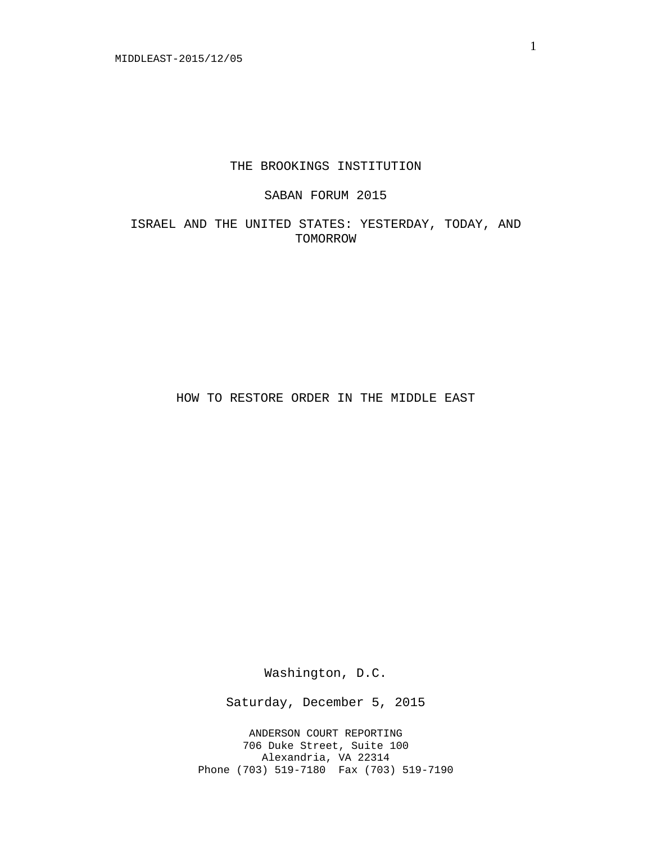### THE BROOKINGS INSTITUTION

## SABAN FORUM 2015

ISRAEL AND THE UNITED STATES: YESTERDAY, TODAY, AND TOMORROW

HOW TO RESTORE ORDER IN THE MIDDLE EAST

Washington, D.C.

Saturday, December 5, 2015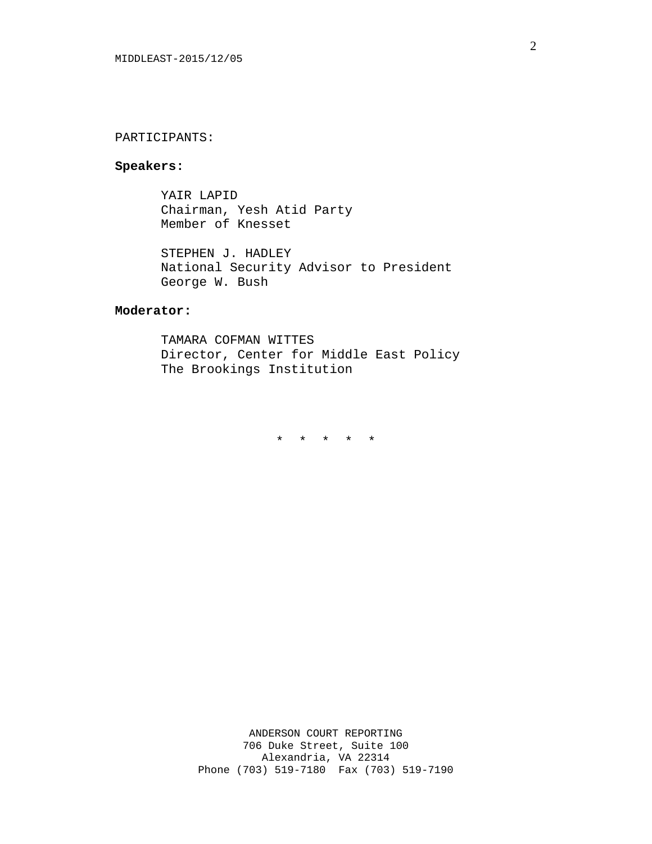### PARTICIPANTS:

## **Speakers:**

YAIR LAPID Chairman, Yesh Atid Party Member of Knesset

STEPHEN J. HADLEY National Security Advisor to President George W. Bush

# **Moderator:**

TAMARA COFMAN WITTES Director, Center for Middle East Policy The Brookings Institution

\* \* \* \* \*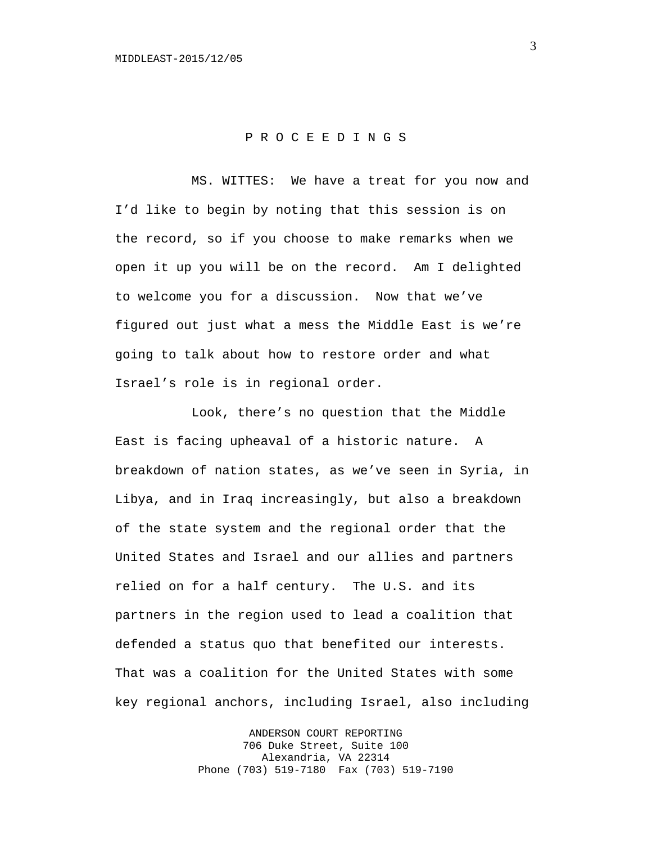## P R O C E E D I N G S

MS. WITTES: We have a treat for you now and I'd like to begin by noting that this session is on the record, so if you choose to make remarks when we open it up you will be on the record. Am I delighted to welcome you for a discussion. Now that we've figured out just what a mess the Middle East is we're going to talk about how to restore order and what Israel's role is in regional order.

Look, there's no question that the Middle East is facing upheaval of a historic nature. A breakdown of nation states, as we've seen in Syria, in Libya, and in Iraq increasingly, but also a breakdown of the state system and the regional order that the United States and Israel and our allies and partners relied on for a half century. The U.S. and its partners in the region used to lead a coalition that defended a status quo that benefited our interests. That was a coalition for the United States with some key regional anchors, including Israel, also including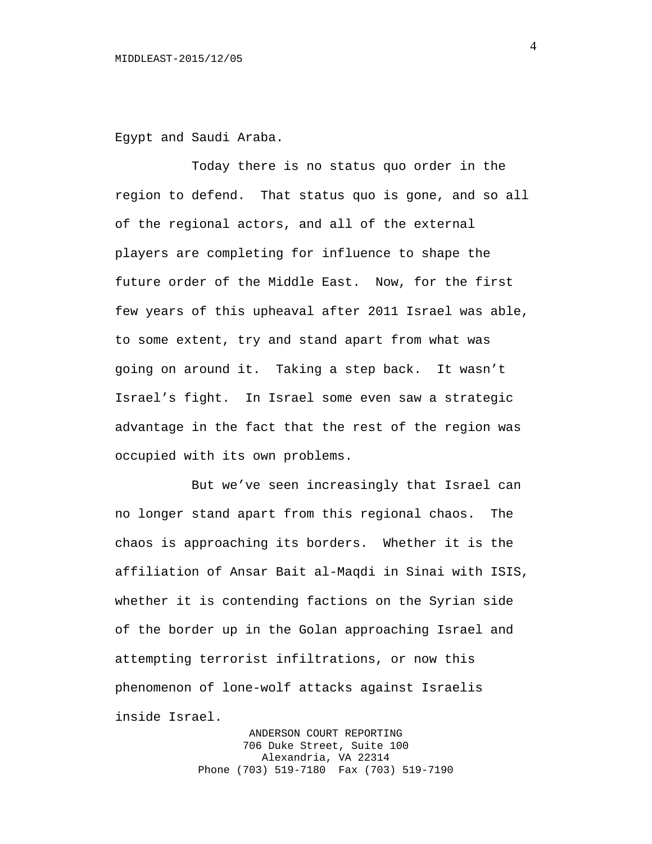Egypt and Saudi Araba.

Today there is no status quo order in the region to defend. That status quo is gone, and so all of the regional actors, and all of the external players are completing for influence to shape the future order of the Middle East. Now, for the first few years of this upheaval after 2011 Israel was able, to some extent, try and stand apart from what was going on around it. Taking a step back. It wasn't Israel's fight. In Israel some even saw a strategic advantage in the fact that the rest of the region was occupied with its own problems.

But we've seen increasingly that Israel can no longer stand apart from this regional chaos. The chaos is approaching its borders. Whether it is the affiliation of Ansar Bait al-Maqdi in Sinai with ISIS, whether it is contending factions on the Syrian side of the border up in the Golan approaching Israel and attempting terrorist infiltrations, or now this phenomenon of lone-wolf attacks against Israelis inside Israel.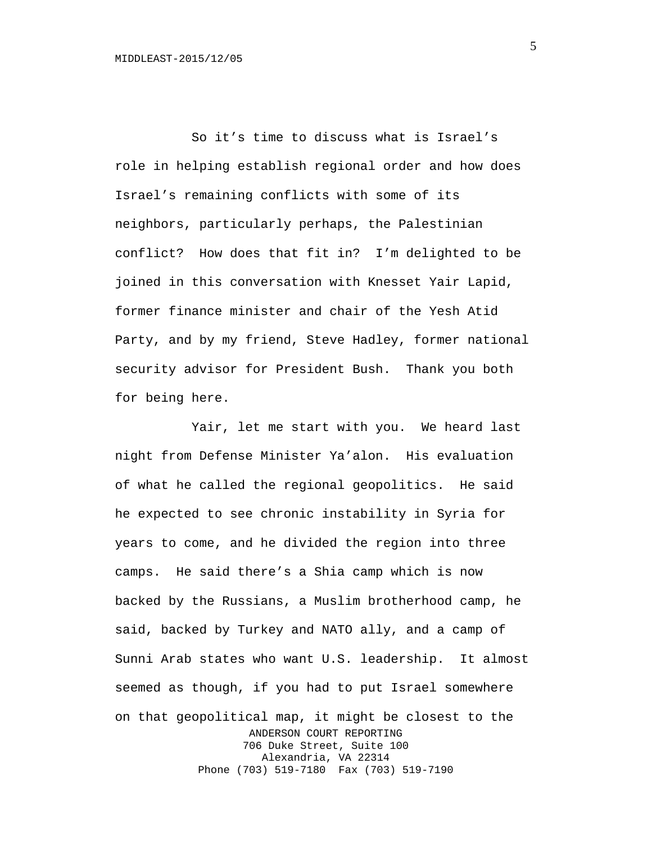So it's time to discuss what is Israel's role in helping establish regional order and how does Israel's remaining conflicts with some of its neighbors, particularly perhaps, the Palestinian conflict? How does that fit in? I'm delighted to be joined in this conversation with Knesset Yair Lapid, former finance minister and chair of the Yesh Atid Party, and by my friend, Steve Hadley, former national security advisor for President Bush. Thank you both for being here.

Yair, let me start with you. We heard last night from Defense Minister Ya'alon. His evaluation of what he called the regional geopolitics. He said he expected to see chronic instability in Syria for years to come, and he divided the region into three camps. He said there's a Shia camp which is now backed by the Russians, a Muslim brotherhood camp, he said, backed by Turkey and NATO ally, and a camp of Sunni Arab states who want U.S. leadership. It almost seemed as though, if you had to put Israel somewhere on that geopolitical map, it might be closest to the ANDERSON COURT REPORTING 706 Duke Street, Suite 100 Alexandria, VA 22314 Phone (703) 519-7180 Fax (703) 519-7190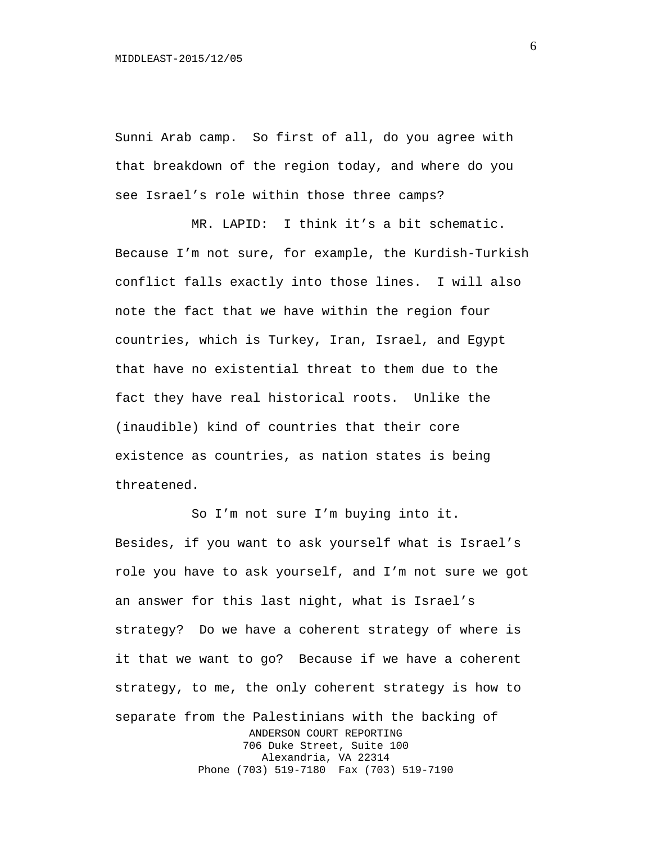Sunni Arab camp. So first of all, do you agree with that breakdown of the region today, and where do you see Israel's role within those three camps?

MR. LAPID: I think it's a bit schematic. Because I'm not sure, for example, the Kurdish-Turkish conflict falls exactly into those lines. I will also note the fact that we have within the region four countries, which is Turkey, Iran, Israel, and Egypt that have no existential threat to them due to the fact they have real historical roots. Unlike the (inaudible) kind of countries that their core existence as countries, as nation states is being threatened.

So I'm not sure I'm buying into it. Besides, if you want to ask yourself what is Israel's role you have to ask yourself, and I'm not sure we got an answer for this last night, what is Israel's strategy? Do we have a coherent strategy of where is it that we want to go? Because if we have a coherent strategy, to me, the only coherent strategy is how to separate from the Palestinians with the backing of ANDERSON COURT REPORTING 706 Duke Street, Suite 100 Alexandria, VA 22314 Phone (703) 519-7180 Fax (703) 519-7190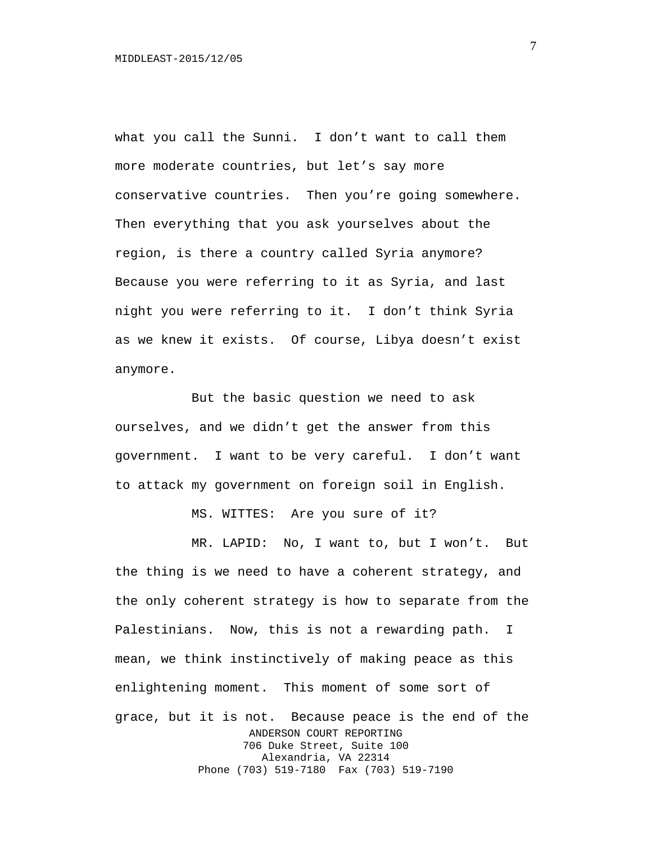what you call the Sunni. I don't want to call them more moderate countries, but let's say more conservative countries. Then you're going somewhere. Then everything that you ask yourselves about the region, is there a country called Syria anymore? Because you were referring to it as Syria, and last night you were referring to it. I don't think Syria as we knew it exists. Of course, Libya doesn't exist anymore.

But the basic question we need to ask ourselves, and we didn't get the answer from this government. I want to be very careful. I don't want to attack my government on foreign soil in English.

MS. WITTES: Are you sure of it?

MR. LAPID: No, I want to, but I won't. But the thing is we need to have a coherent strategy, and the only coherent strategy is how to separate from the Palestinians. Now, this is not a rewarding path. I mean, we think instinctively of making peace as this enlightening moment. This moment of some sort of grace, but it is not. Because peace is the end of the ANDERSON COURT REPORTING 706 Duke Street, Suite 100 Alexandria, VA 22314 Phone (703) 519-7180 Fax (703) 519-7190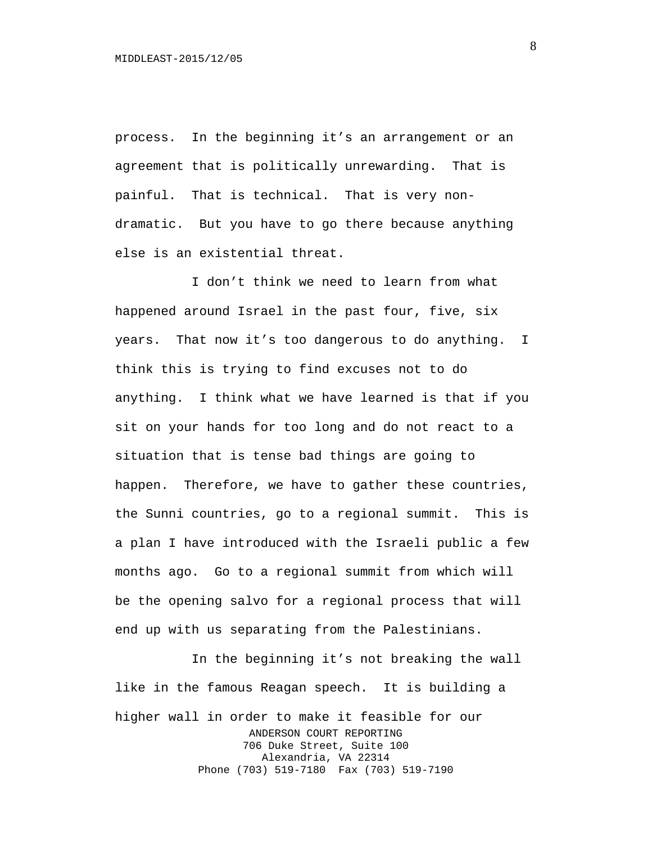process. In the beginning it's an arrangement or an agreement that is politically unrewarding. That is painful. That is technical. That is very nondramatic. But you have to go there because anything else is an existential threat.

I don't think we need to learn from what happened around Israel in the past four, five, six years. That now it's too dangerous to do anything. I think this is trying to find excuses not to do anything. I think what we have learned is that if you sit on your hands for too long and do not react to a situation that is tense bad things are going to happen. Therefore, we have to gather these countries, the Sunni countries, go to a regional summit. This is a plan I have introduced with the Israeli public a few months ago. Go to a regional summit from which will be the opening salvo for a regional process that will end up with us separating from the Palestinians.

In the beginning it's not breaking the wall like in the famous Reagan speech. It is building a higher wall in order to make it feasible for our ANDERSON COURT REPORTING 706 Duke Street, Suite 100 Alexandria, VA 22314 Phone (703) 519-7180 Fax (703) 519-7190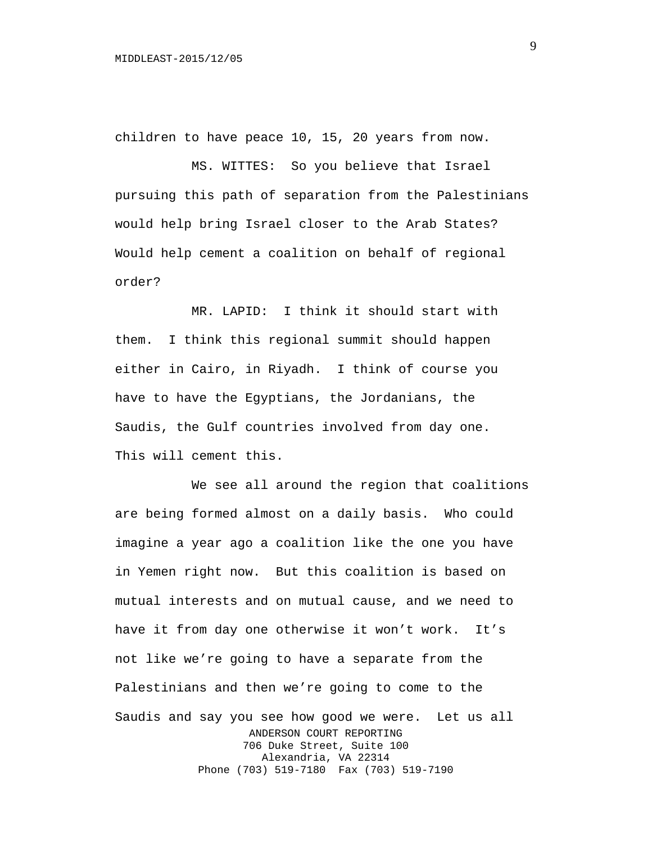children to have peace 10, 15, 20 years from now.

MS. WITTES: So you believe that Israel pursuing this path of separation from the Palestinians would help bring Israel closer to the Arab States? Would help cement a coalition on behalf of regional order?

MR. LAPID: I think it should start with them. I think this regional summit should happen either in Cairo, in Riyadh. I think of course you have to have the Egyptians, the Jordanians, the Saudis, the Gulf countries involved from day one. This will cement this.

We see all around the region that coalitions are being formed almost on a daily basis. Who could imagine a year ago a coalition like the one you have in Yemen right now. But this coalition is based on mutual interests and on mutual cause, and we need to have it from day one otherwise it won't work. It's not like we're going to have a separate from the Palestinians and then we're going to come to the Saudis and say you see how good we were. Let us all ANDERSON COURT REPORTING 706 Duke Street, Suite 100 Alexandria, VA 22314 Phone (703) 519-7180 Fax (703) 519-7190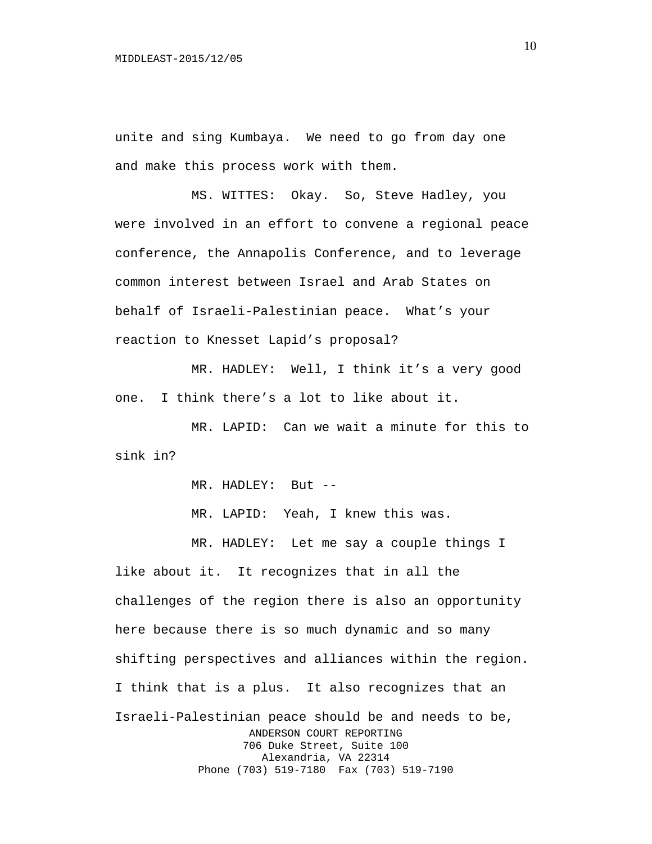unite and sing Kumbaya. We need to go from day one and make this process work with them.

MS. WITTES: Okay. So, Steve Hadley, you were involved in an effort to convene a regional peace conference, the Annapolis Conference, and to leverage common interest between Israel and Arab States on behalf of Israeli-Palestinian peace. What's your reaction to Knesset Lapid's proposal?

MR. HADLEY: Well, I think it's a very good one. I think there's a lot to like about it.

MR. LAPID: Can we wait a minute for this to sink in?

MR. HADLEY: But --

MR. LAPID: Yeah, I knew this was.

MR. HADLEY: Let me say a couple things I like about it. It recognizes that in all the challenges of the region there is also an opportunity here because there is so much dynamic and so many shifting perspectives and alliances within the region. I think that is a plus. It also recognizes that an Israeli-Palestinian peace should be and needs to be, ANDERSON COURT REPORTING 706 Duke Street, Suite 100 Alexandria, VA 22314 Phone (703) 519-7180 Fax (703) 519-7190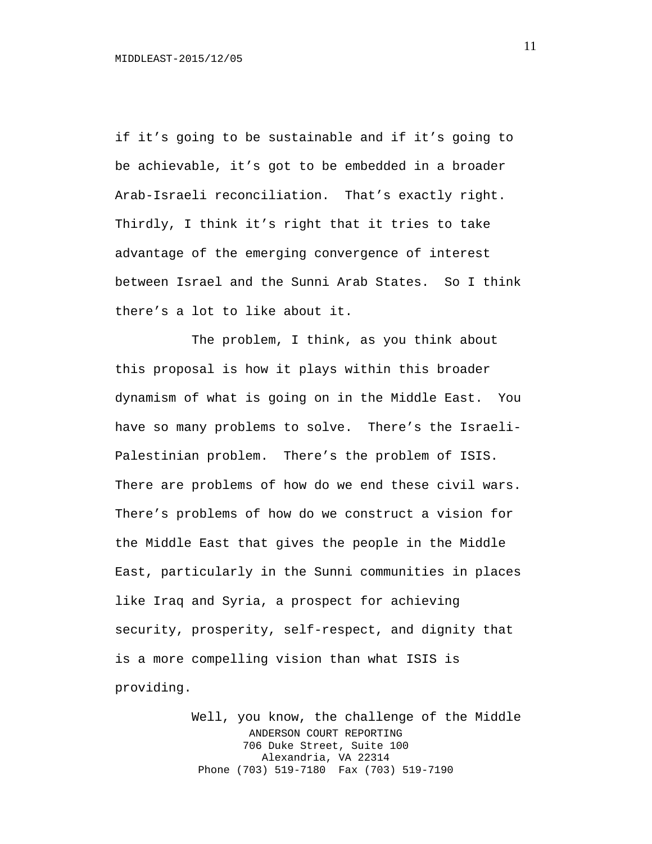if it's going to be sustainable and if it's going to be achievable, it's got to be embedded in a broader Arab-Israeli reconciliation. That's exactly right. Thirdly, I think it's right that it tries to take advantage of the emerging convergence of interest between Israel and the Sunni Arab States. So I think there's a lot to like about it.

The problem, I think, as you think about this proposal is how it plays within this broader dynamism of what is going on in the Middle East. You have so many problems to solve. There's the Israeli-Palestinian problem. There's the problem of ISIS. There are problems of how do we end these civil wars. There's problems of how do we construct a vision for the Middle East that gives the people in the Middle East, particularly in the Sunni communities in places like Iraq and Syria, a prospect for achieving security, prosperity, self-respect, and dignity that is a more compelling vision than what ISIS is providing.

> Well, you know, the challenge of the Middle ANDERSON COURT REPORTING 706 Duke Street, Suite 100 Alexandria, VA 22314 Phone (703) 519-7180 Fax (703) 519-7190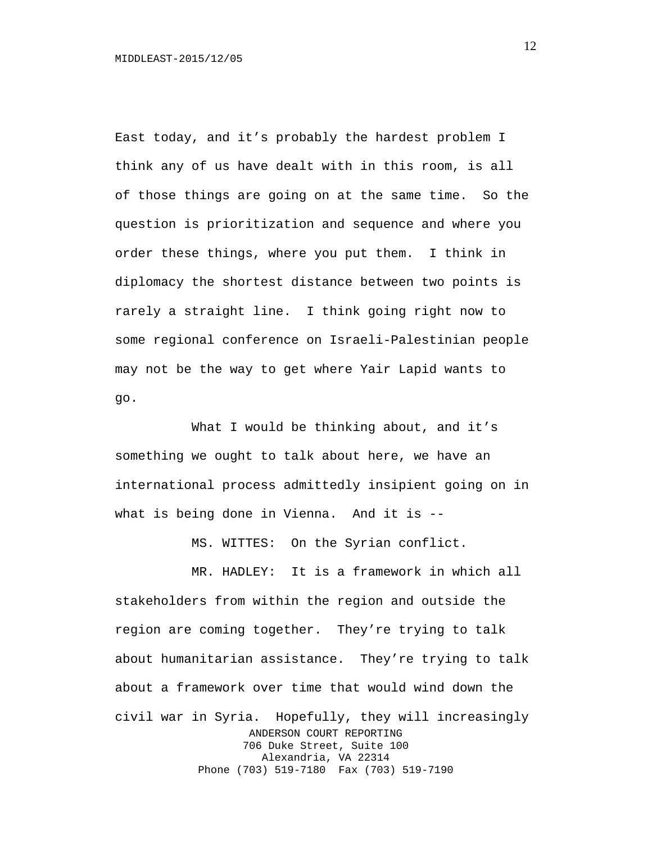East today, and it's probably the hardest problem I think any of us have dealt with in this room, is all of those things are going on at the same time. So the question is prioritization and sequence and where you order these things, where you put them. I think in diplomacy the shortest distance between two points is rarely a straight line. I think going right now to some regional conference on Israeli-Palestinian people may not be the way to get where Yair Lapid wants to go.

What I would be thinking about, and it's something we ought to talk about here, we have an international process admittedly insipient going on in what is being done in Vienna. And it is --

MS. WITTES: On the Syrian conflict.

MR. HADLEY: It is a framework in which all stakeholders from within the region and outside the region are coming together. They're trying to talk about humanitarian assistance. They're trying to talk about a framework over time that would wind down the civil war in Syria. Hopefully, they will increasingly ANDERSON COURT REPORTING 706 Duke Street, Suite 100 Alexandria, VA 22314 Phone (703) 519-7180 Fax (703) 519-7190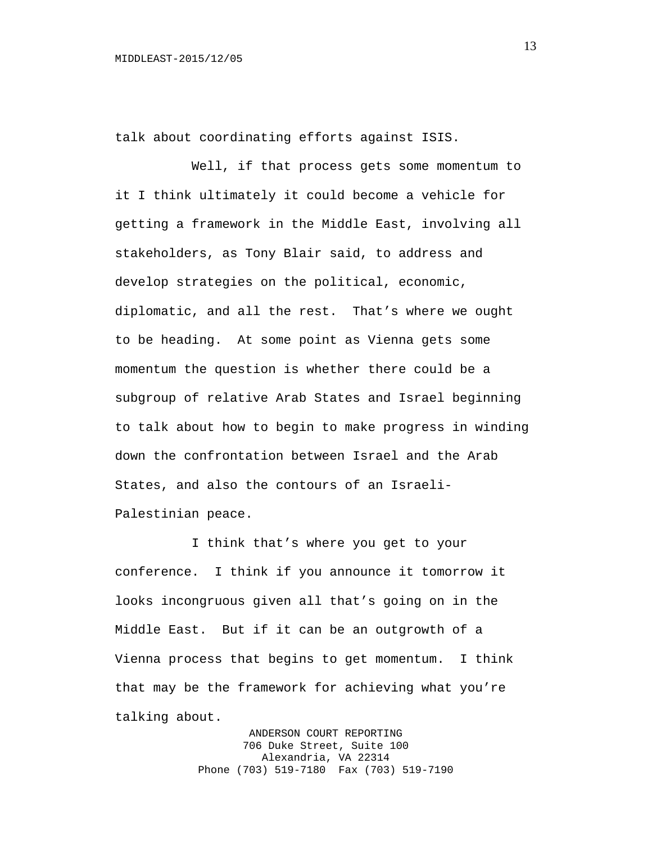talk about coordinating efforts against ISIS.

Well, if that process gets some momentum to it I think ultimately it could become a vehicle for getting a framework in the Middle East, involving all stakeholders, as Tony Blair said, to address and develop strategies on the political, economic, diplomatic, and all the rest. That's where we ought to be heading. At some point as Vienna gets some momentum the question is whether there could be a subgroup of relative Arab States and Israel beginning to talk about how to begin to make progress in winding down the confrontation between Israel and the Arab States, and also the contours of an Israeli-Palestinian peace.

I think that's where you get to your conference. I think if you announce it tomorrow it looks incongruous given all that's going on in the Middle East. But if it can be an outgrowth of a Vienna process that begins to get momentum. I think that may be the framework for achieving what you're talking about.

> ANDERSON COURT REPORTING 706 Duke Street, Suite 100 Alexandria, VA 22314 Phone (703) 519-7180 Fax (703) 519-7190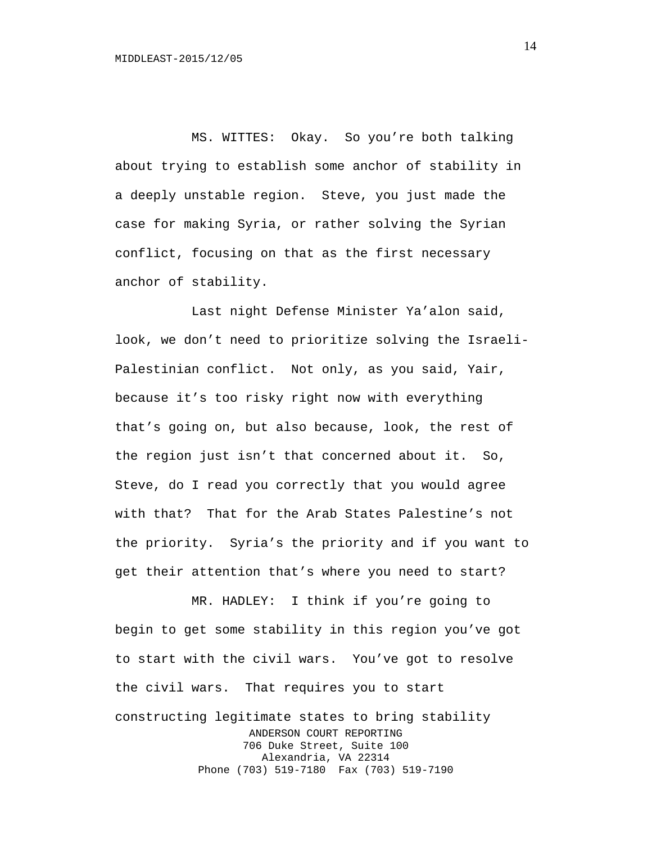MS. WITTES: Okay. So you're both talking about trying to establish some anchor of stability in a deeply unstable region. Steve, you just made the case for making Syria, or rather solving the Syrian conflict, focusing on that as the first necessary anchor of stability.

Last night Defense Minister Ya'alon said, look, we don't need to prioritize solving the Israeli-Palestinian conflict. Not only, as you said, Yair, because it's too risky right now with everything that's going on, but also because, look, the rest of the region just isn't that concerned about it. So, Steve, do I read you correctly that you would agree with that? That for the Arab States Palestine's not the priority. Syria's the priority and if you want to get their attention that's where you need to start?

MR. HADLEY: I think if you're going to begin to get some stability in this region you've got to start with the civil wars. You've got to resolve the civil wars. That requires you to start constructing legitimate states to bring stability ANDERSON COURT REPORTING 706 Duke Street, Suite 100 Alexandria, VA 22314 Phone (703) 519-7180 Fax (703) 519-7190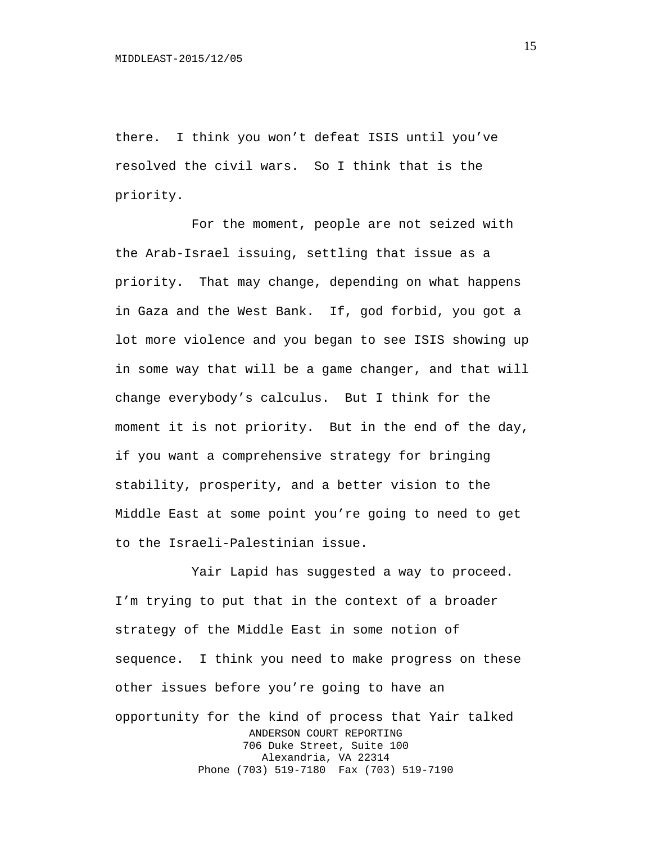there. I think you won't defeat ISIS until you've resolved the civil wars. So I think that is the priority.

For the moment, people are not seized with the Arab-Israel issuing, settling that issue as a priority. That may change, depending on what happens in Gaza and the West Bank. If, god forbid, you got a lot more violence and you began to see ISIS showing up in some way that will be a game changer, and that will change everybody's calculus. But I think for the moment it is not priority. But in the end of the day, if you want a comprehensive strategy for bringing stability, prosperity, and a better vision to the Middle East at some point you're going to need to get to the Israeli-Palestinian issue.

Yair Lapid has suggested a way to proceed. I'm trying to put that in the context of a broader strategy of the Middle East in some notion of sequence. I think you need to make progress on these other issues before you're going to have an opportunity for the kind of process that Yair talked ANDERSON COURT REPORTING 706 Duke Street, Suite 100 Alexandria, VA 22314 Phone (703) 519-7180 Fax (703) 519-7190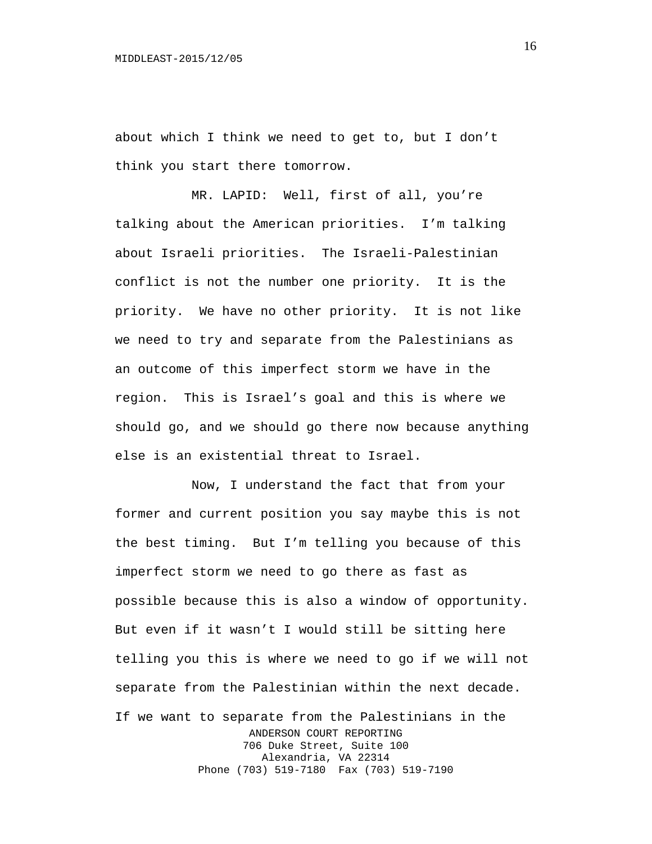about which I think we need to get to, but I don't think you start there tomorrow.

MR. LAPID: Well, first of all, you're talking about the American priorities. I'm talking about Israeli priorities. The Israeli-Palestinian conflict is not the number one priority. It is the priority. We have no other priority. It is not like we need to try and separate from the Palestinians as an outcome of this imperfect storm we have in the region. This is Israel's goal and this is where we should go, and we should go there now because anything else is an existential threat to Israel.

Now, I understand the fact that from your former and current position you say maybe this is not the best timing. But I'm telling you because of this imperfect storm we need to go there as fast as possible because this is also a window of opportunity. But even if it wasn't I would still be sitting here telling you this is where we need to go if we will not separate from the Palestinian within the next decade. If we want to separate from the Palestinians in the ANDERSON COURT REPORTING 706 Duke Street, Suite 100 Alexandria, VA 22314 Phone (703) 519-7180 Fax (703) 519-7190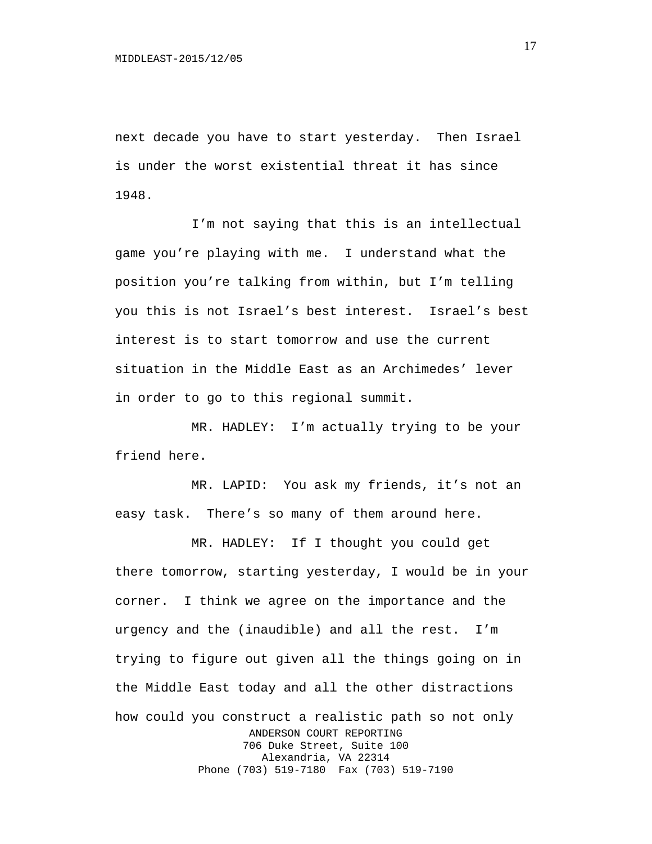next decade you have to start yesterday. Then Israel is under the worst existential threat it has since 1948.

I'm not saying that this is an intellectual game you're playing with me. I understand what the position you're talking from within, but I'm telling you this is not Israel's best interest. Israel's best interest is to start tomorrow and use the current situation in the Middle East as an Archimedes' lever in order to go to this regional summit.

MR. HADLEY: I'm actually trying to be your friend here.

MR. LAPID: You ask my friends, it's not an easy task. There's so many of them around here.

MR. HADLEY: If I thought you could get there tomorrow, starting yesterday, I would be in your corner. I think we agree on the importance and the urgency and the (inaudible) and all the rest. I'm trying to figure out given all the things going on in the Middle East today and all the other distractions how could you construct a realistic path so not only ANDERSON COURT REPORTING 706 Duke Street, Suite 100 Alexandria, VA 22314 Phone (703) 519-7180 Fax (703) 519-7190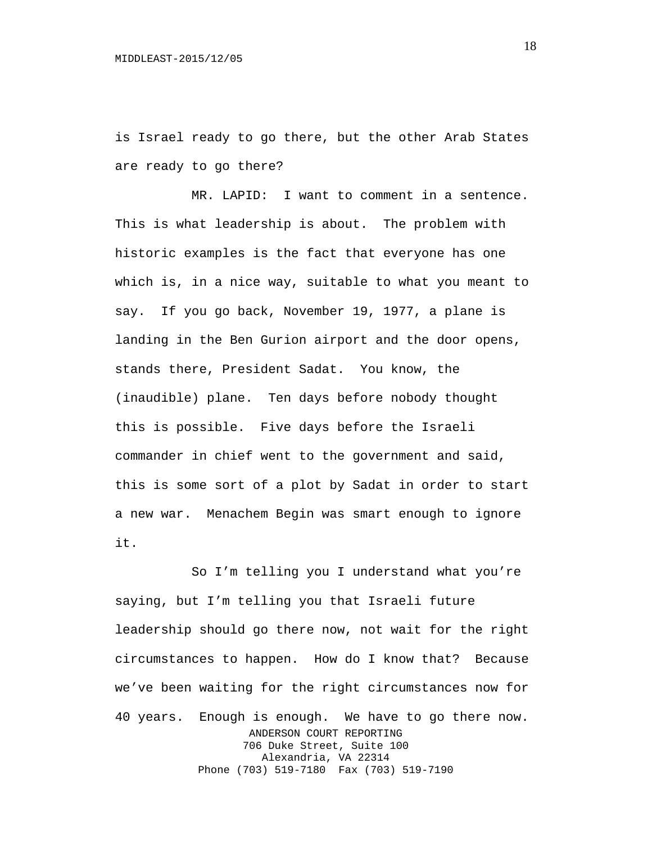is Israel ready to go there, but the other Arab States are ready to go there?

MR. LAPID: I want to comment in a sentence. This is what leadership is about. The problem with historic examples is the fact that everyone has one which is, in a nice way, suitable to what you meant to say. If you go back, November 19, 1977, a plane is landing in the Ben Gurion airport and the door opens, stands there, President Sadat. You know, the (inaudible) plane. Ten days before nobody thought this is possible. Five days before the Israeli commander in chief went to the government and said, this is some sort of a plot by Sadat in order to start a new war. Menachem Begin was smart enough to ignore it.

So I'm telling you I understand what you're saying, but I'm telling you that Israeli future leadership should go there now, not wait for the right circumstances to happen. How do I know that? Because we've been waiting for the right circumstances now for 40 years. Enough is enough. We have to go there now. ANDERSON COURT REPORTING 706 Duke Street, Suite 100 Alexandria, VA 22314 Phone (703) 519-7180 Fax (703) 519-7190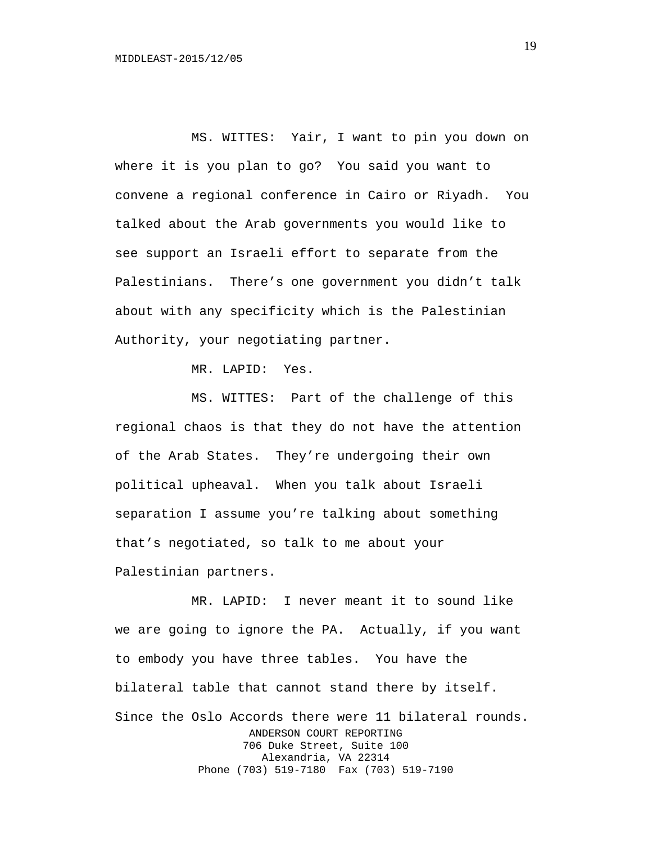MS. WITTES: Yair, I want to pin you down on where it is you plan to go? You said you want to convene a regional conference in Cairo or Riyadh. You talked about the Arab governments you would like to see support an Israeli effort to separate from the Palestinians. There's one government you didn't talk about with any specificity which is the Palestinian Authority, your negotiating partner.

MR. LAPID: Yes.

MS. WITTES: Part of the challenge of this regional chaos is that they do not have the attention of the Arab States. They're undergoing their own political upheaval. When you talk about Israeli separation I assume you're talking about something that's negotiated, so talk to me about your Palestinian partners.

MR. LAPID: I never meant it to sound like we are going to ignore the PA. Actually, if you want to embody you have three tables. You have the bilateral table that cannot stand there by itself. Since the Oslo Accords there were 11 bilateral rounds. ANDERSON COURT REPORTING 706 Duke Street, Suite 100 Alexandria, VA 22314 Phone (703) 519-7180 Fax (703) 519-7190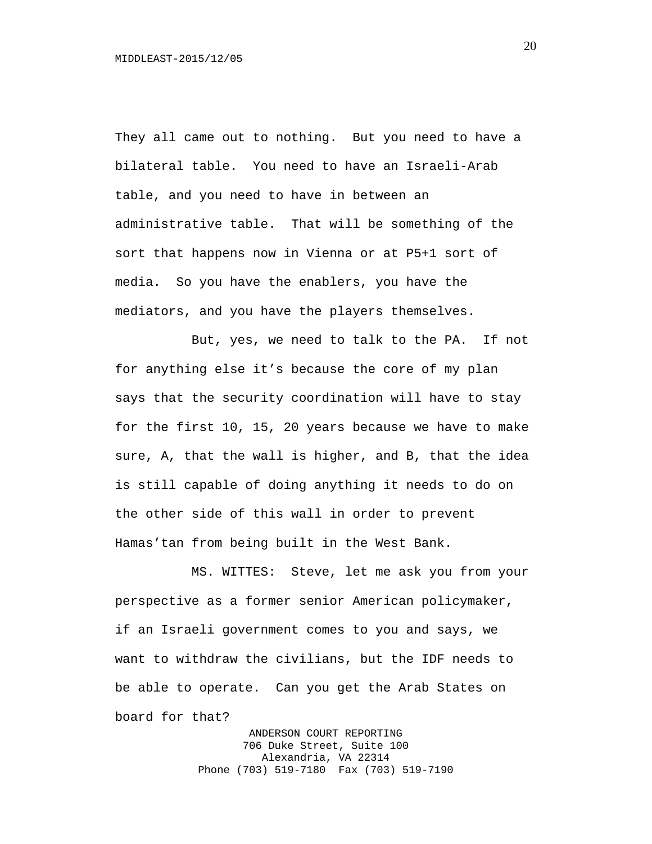They all came out to nothing. But you need to have a bilateral table. You need to have an Israeli-Arab table, and you need to have in between an administrative table. That will be something of the sort that happens now in Vienna or at P5+1 sort of media. So you have the enablers, you have the mediators, and you have the players themselves.

But, yes, we need to talk to the PA. If not for anything else it's because the core of my plan says that the security coordination will have to stay for the first 10, 15, 20 years because we have to make sure, A, that the wall is higher, and B, that the idea is still capable of doing anything it needs to do on the other side of this wall in order to prevent Hamas'tan from being built in the West Bank.

MS. WITTES: Steve, let me ask you from your perspective as a former senior American policymaker, if an Israeli government comes to you and says, we want to withdraw the civilians, but the IDF needs to be able to operate. Can you get the Arab States on board for that?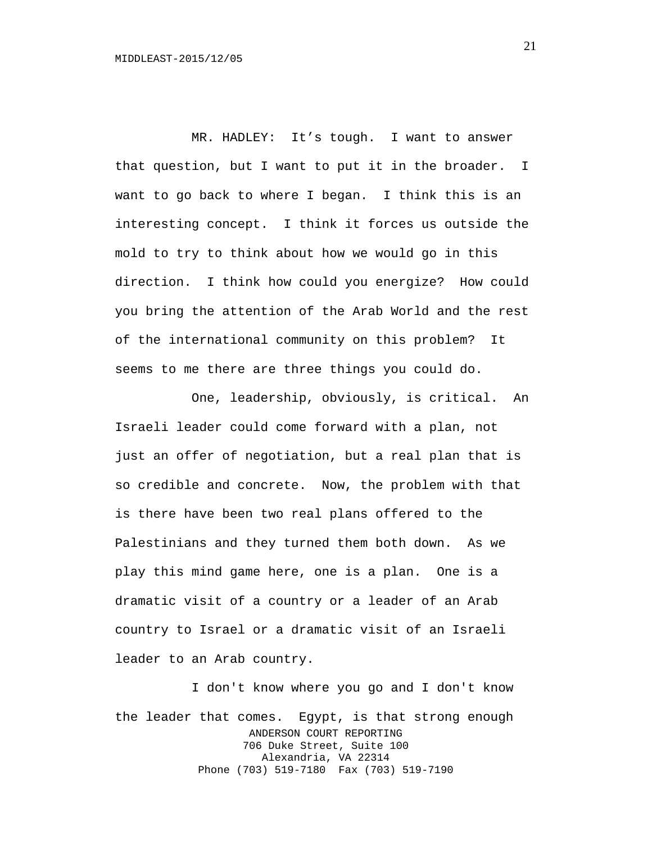MR. HADLEY: It's tough. I want to answer that question, but I want to put it in the broader. I want to go back to where I began. I think this is an interesting concept. I think it forces us outside the mold to try to think about how we would go in this direction. I think how could you energize? How could you bring the attention of the Arab World and the rest of the international community on this problem? It seems to me there are three things you could do.

One, leadership, obviously, is critical. An Israeli leader could come forward with a plan, not just an offer of negotiation, but a real plan that is so credible and concrete. Now, the problem with that is there have been two real plans offered to the Palestinians and they turned them both down. As we play this mind game here, one is a plan. One is a dramatic visit of a country or a leader of an Arab country to Israel or a dramatic visit of an Israeli leader to an Arab country.

I don't know where you go and I don't know the leader that comes. Egypt, is that strong enough ANDERSON COURT REPORTING 706 Duke Street, Suite 100 Alexandria, VA 22314 Phone (703) 519-7180 Fax (703) 519-7190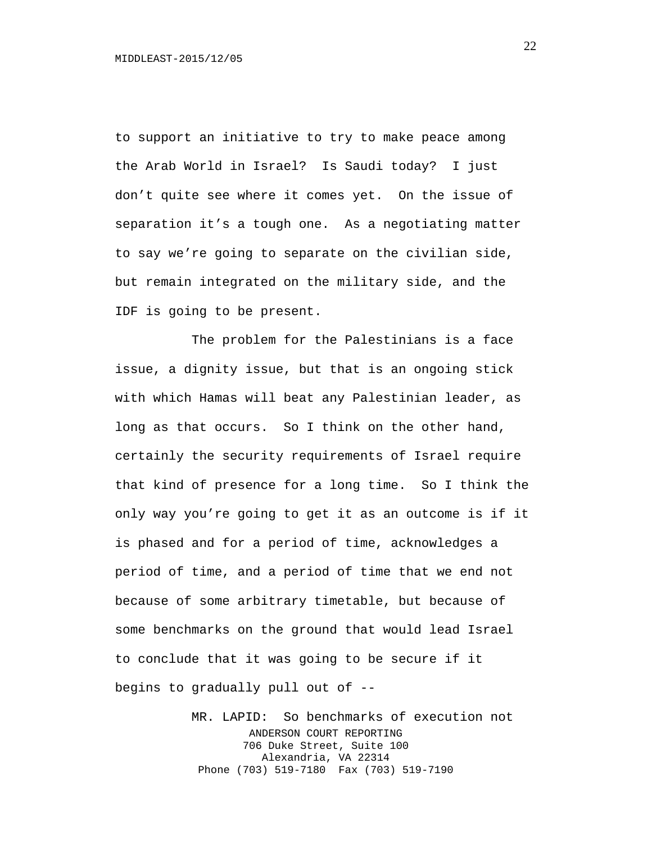to support an initiative to try to make peace among the Arab World in Israel? Is Saudi today? I just don't quite see where it comes yet. On the issue of separation it's a tough one. As a negotiating matter to say we're going to separate on the civilian side, but remain integrated on the military side, and the IDF is going to be present.

The problem for the Palestinians is a face issue, a dignity issue, but that is an ongoing stick with which Hamas will beat any Palestinian leader, as long as that occurs. So I think on the other hand, certainly the security requirements of Israel require that kind of presence for a long time. So I think the only way you're going to get it as an outcome is if it is phased and for a period of time, acknowledges a period of time, and a period of time that we end not because of some arbitrary timetable, but because of some benchmarks on the ground that would lead Israel to conclude that it was going to be secure if it begins to gradually pull out of --

> MR. LAPID: So benchmarks of execution not ANDERSON COURT REPORTING 706 Duke Street, Suite 100 Alexandria, VA 22314 Phone (703) 519-7180 Fax (703) 519-7190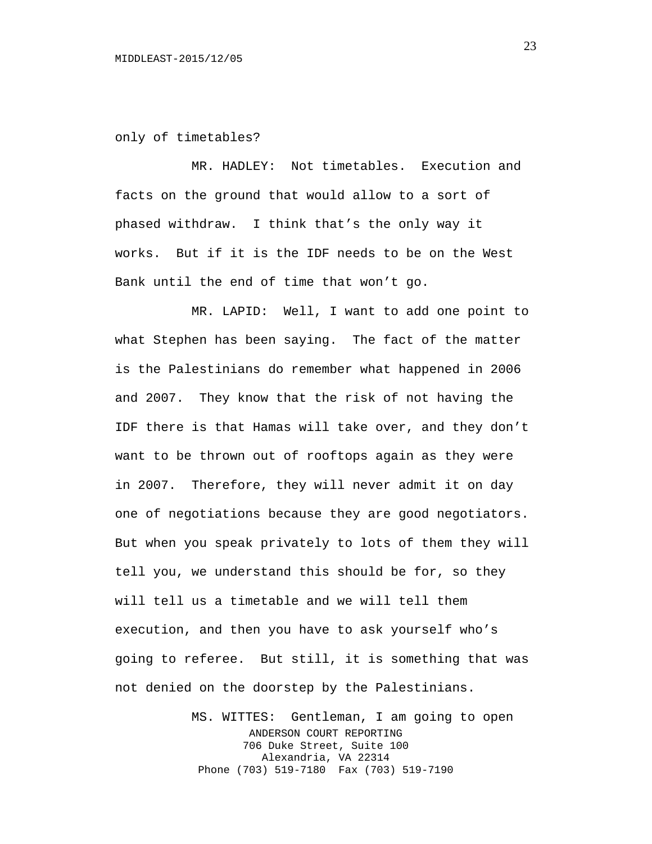only of timetables?

MR. HADLEY: Not timetables. Execution and facts on the ground that would allow to a sort of phased withdraw. I think that's the only way it works. But if it is the IDF needs to be on the West Bank until the end of time that won't go.

MR. LAPID: Well, I want to add one point to what Stephen has been saying. The fact of the matter is the Palestinians do remember what happened in 2006 and 2007. They know that the risk of not having the IDF there is that Hamas will take over, and they don't want to be thrown out of rooftops again as they were in 2007. Therefore, they will never admit it on day one of negotiations because they are good negotiators. But when you speak privately to lots of them they will tell you, we understand this should be for, so they will tell us a timetable and we will tell them execution, and then you have to ask yourself who's going to referee. But still, it is something that was not denied on the doorstep by the Palestinians.

> MS. WITTES: Gentleman, I am going to open ANDERSON COURT REPORTING 706 Duke Street, Suite 100 Alexandria, VA 22314 Phone (703) 519-7180 Fax (703) 519-7190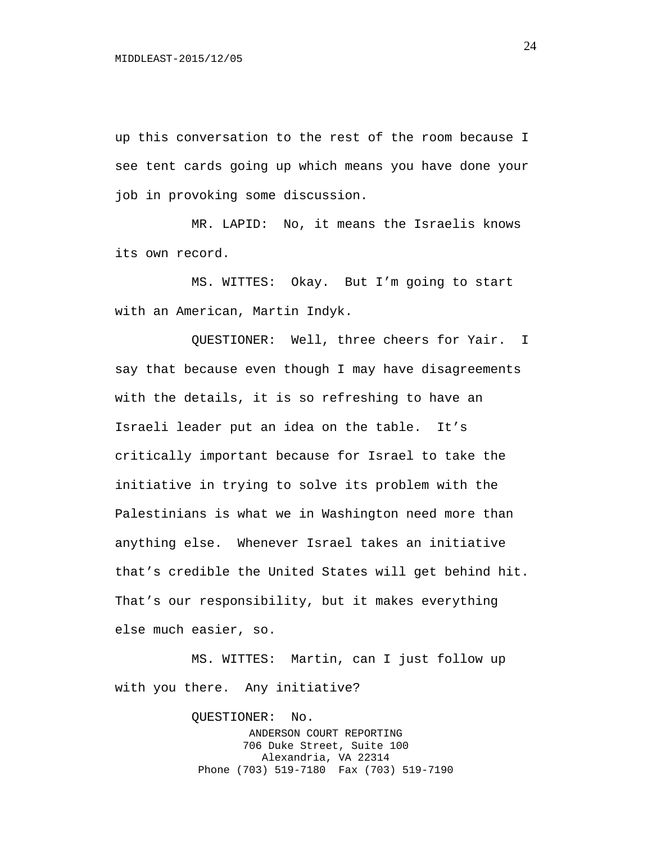up this conversation to the rest of the room because I see tent cards going up which means you have done your job in provoking some discussion.

MR. LAPID: No, it means the Israelis knows its own record.

MS. WITTES: Okay. But I'm going to start with an American, Martin Indyk.

QUESTIONER: Well, three cheers for Yair. I say that because even though I may have disagreements with the details, it is so refreshing to have an Israeli leader put an idea on the table. It's critically important because for Israel to take the initiative in trying to solve its problem with the Palestinians is what we in Washington need more than anything else. Whenever Israel takes an initiative that's credible the United States will get behind hit. That's our responsibility, but it makes everything else much easier, so.

MS. WITTES: Martin, can I just follow up with you there. Any initiative?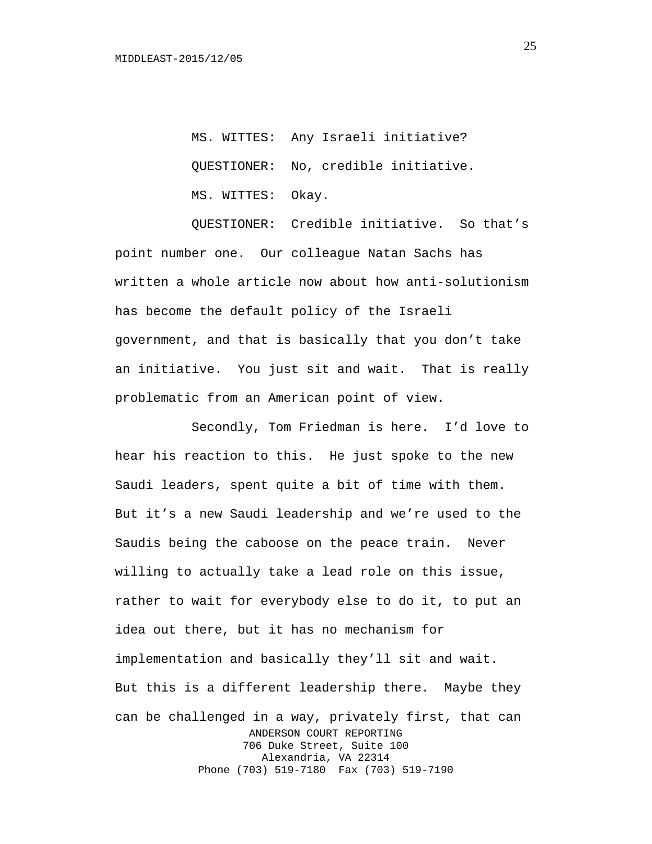MS. WITTES: Any Israeli initiative? QUESTIONER: No, credible initiative. MS. WITTES: Okay.

QUESTIONER: Credible initiative. So that's point number one. Our colleague Natan Sachs has written a whole article now about how anti-solutionism has become the default policy of the Israeli government, and that is basically that you don't take an initiative. You just sit and wait. That is really problematic from an American point of view.

Secondly, Tom Friedman is here. I'd love to hear his reaction to this. He just spoke to the new Saudi leaders, spent quite a bit of time with them. But it's a new Saudi leadership and we're used to the Saudis being the caboose on the peace train. Never willing to actually take a lead role on this issue, rather to wait for everybody else to do it, to put an idea out there, but it has no mechanism for implementation and basically they'll sit and wait. But this is a different leadership there. Maybe they can be challenged in a way, privately first, that can ANDERSON COURT REPORTING 706 Duke Street, Suite 100 Alexandria, VA 22314 Phone (703) 519-7180 Fax (703) 519-7190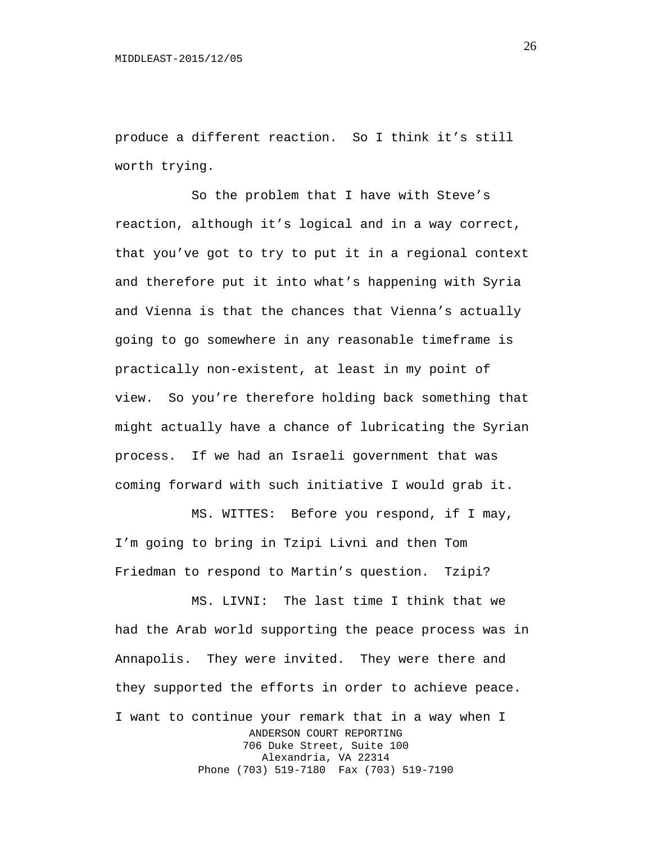produce a different reaction. So I think it's still worth trying.

So the problem that I have with Steve's reaction, although it's logical and in a way correct, that you've got to try to put it in a regional context and therefore put it into what's happening with Syria and Vienna is that the chances that Vienna's actually going to go somewhere in any reasonable timeframe is practically non-existent, at least in my point of view. So you're therefore holding back something that might actually have a chance of lubricating the Syrian process. If we had an Israeli government that was coming forward with such initiative I would grab it.

MS. WITTES: Before you respond, if I may, I'm going to bring in Tzipi Livni and then Tom Friedman to respond to Martin's question. Tzipi?

MS. LIVNI: The last time I think that we had the Arab world supporting the peace process was in Annapolis. They were invited. They were there and they supported the efforts in order to achieve peace. I want to continue your remark that in a way when I ANDERSON COURT REPORTING 706 Duke Street, Suite 100 Alexandria, VA 22314 Phone (703) 519-7180 Fax (703) 519-7190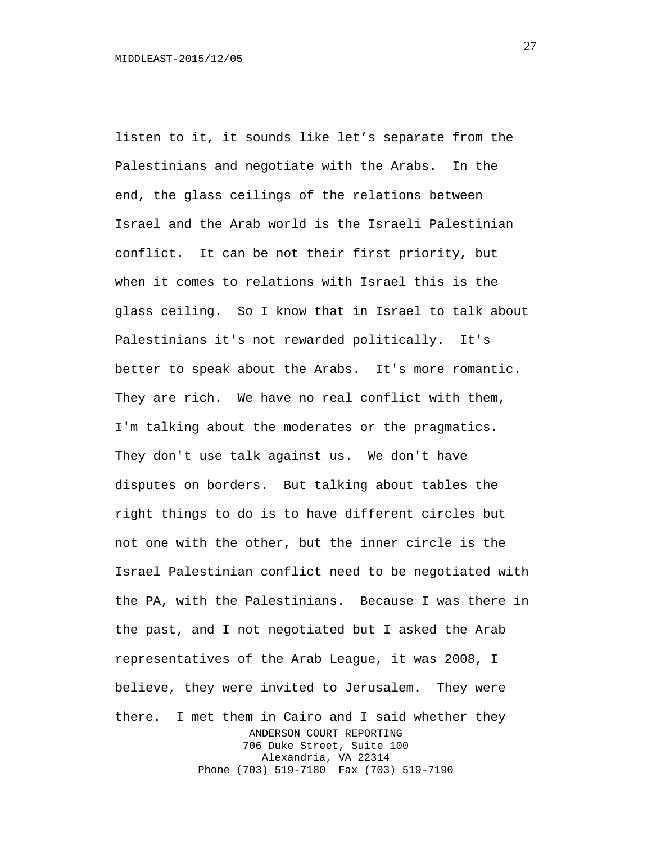listen to it, it sounds like let's separate from the Palestinians and negotiate with the Arabs. In the end, the glass ceilings of the relations between Israel and the Arab world is the Israeli Palestinian conflict. It can be not their first priority, but when it comes to relations with Israel this is the glass ceiling. So I know that in Israel to talk about Palestinians it's not rewarded politically. It's better to speak about the Arabs. It's more romantic. They are rich. We have no real conflict with them, I'm talking about the moderates or the pragmatics. They don't use talk against us. We don't have disputes on borders. But talking about tables the right things to do is to have different circles but not one with the other, but the inner circle is the Israel Palestinian conflict need to be negotiated with the PA, with the Palestinians. Because I was there in the past, and I not negotiated but I asked the Arab representatives of the Arab League, it was 2008, I believe, they were invited to Jerusalem. They were there. I met them in Cairo and I said whether they ANDERSON COURT REPORTING 706 Duke Street, Suite 100 Alexandria, VA 22314 Phone (703) 519-7180 Fax (703) 519-7190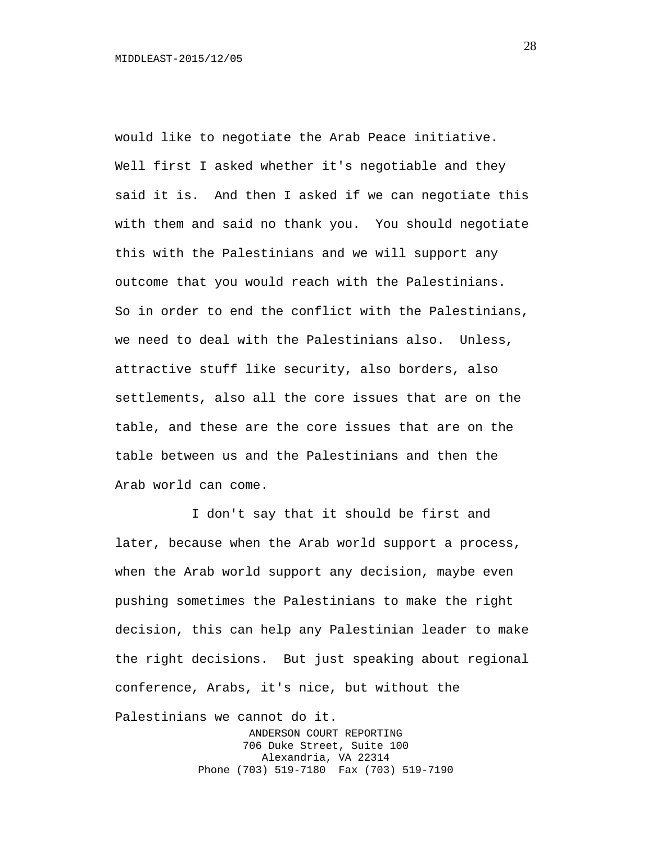would like to negotiate the Arab Peace initiative. Well first I asked whether it's negotiable and they said it is. And then I asked if we can negotiate this with them and said no thank you. You should negotiate this with the Palestinians and we will support any outcome that you would reach with the Palestinians. So in order to end the conflict with the Palestinians, we need to deal with the Palestinians also. Unless, attractive stuff like security, also borders, also settlements, also all the core issues that are on the table, and these are the core issues that are on the table between us and the Palestinians and then the Arab world can come.

I don't say that it should be first and later, because when the Arab world support a process, when the Arab world support any decision, maybe even pushing sometimes the Palestinians to make the right decision, this can help any Palestinian leader to make the right decisions. But just speaking about regional conference, Arabs, it's nice, but without the Palestinians we cannot do it.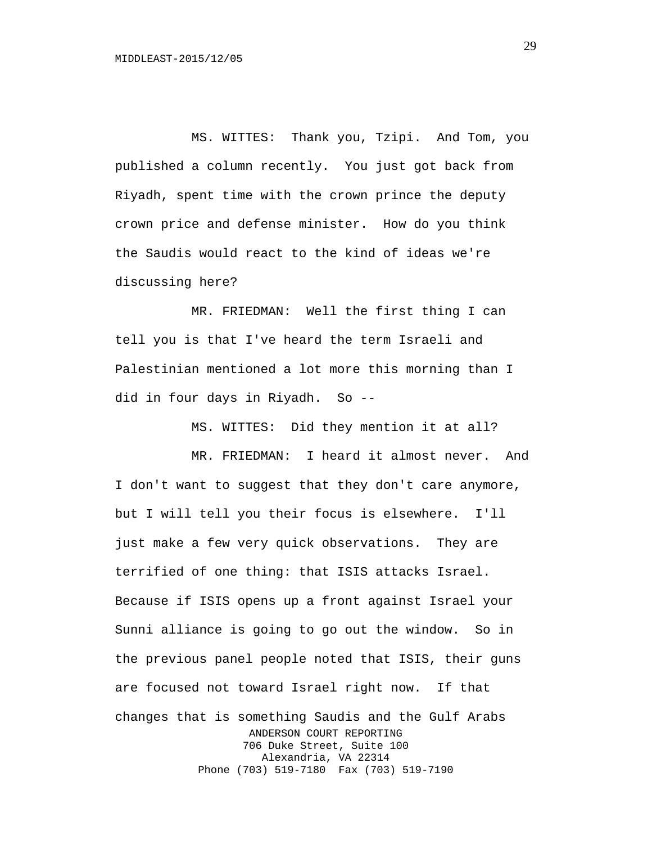MS. WITTES: Thank you, Tzipi. And Tom, you published a column recently. You just got back from Riyadh, spent time with the crown prince the deputy crown price and defense minister. How do you think the Saudis would react to the kind of ideas we're discussing here?

MR. FRIEDMAN: Well the first thing I can tell you is that I've heard the term Israeli and Palestinian mentioned a lot more this morning than I did in four days in Riyadh. So --

MS. WITTES: Did they mention it at all?

MR. FRIEDMAN: I heard it almost never. And I don't want to suggest that they don't care anymore, but I will tell you their focus is elsewhere. I'll just make a few very quick observations. They are terrified of one thing: that ISIS attacks Israel. Because if ISIS opens up a front against Israel your Sunni alliance is going to go out the window. So in the previous panel people noted that ISIS, their guns are focused not toward Israel right now. If that changes that is something Saudis and the Gulf Arabs ANDERSON COURT REPORTING 706 Duke Street, Suite 100 Alexandria, VA 22314 Phone (703) 519-7180 Fax (703) 519-7190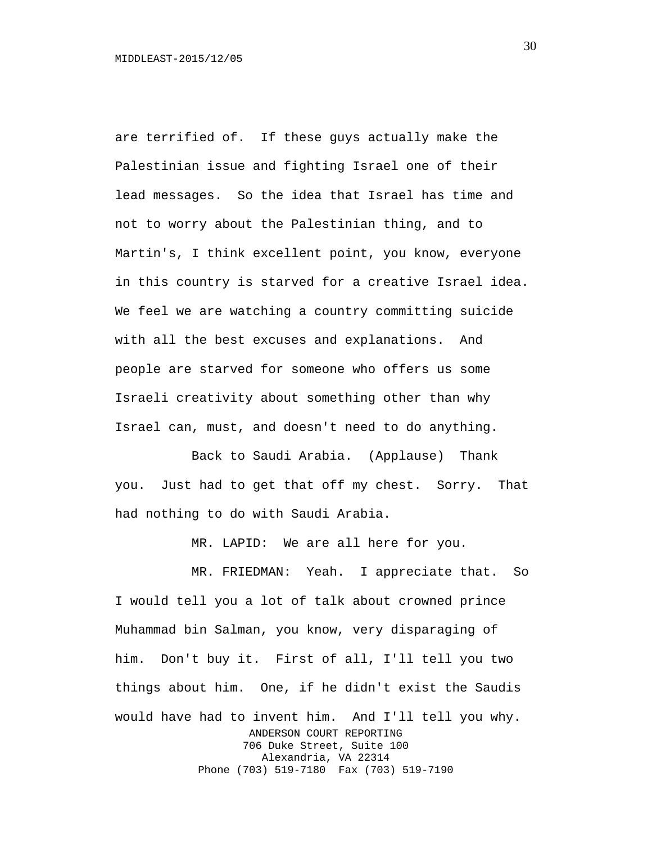are terrified of. If these guys actually make the Palestinian issue and fighting Israel one of their lead messages. So the idea that Israel has time and not to worry about the Palestinian thing, and to Martin's, I think excellent point, you know, everyone in this country is starved for a creative Israel idea. We feel we are watching a country committing suicide with all the best excuses and explanations. And people are starved for someone who offers us some Israeli creativity about something other than why Israel can, must, and doesn't need to do anything.

Back to Saudi Arabia. (Applause) Thank you. Just had to get that off my chest. Sorry. That had nothing to do with Saudi Arabia.

MR. LAPID: We are all here for you.

MR. FRIEDMAN: Yeah. I appreciate that. So I would tell you a lot of talk about crowned prince Muhammad bin Salman, you know, very disparaging of him. Don't buy it. First of all, I'll tell you two things about him. One, if he didn't exist the Saudis would have had to invent him. And I'll tell you why. ANDERSON COURT REPORTING 706 Duke Street, Suite 100 Alexandria, VA 22314 Phone (703) 519-7180 Fax (703) 519-7190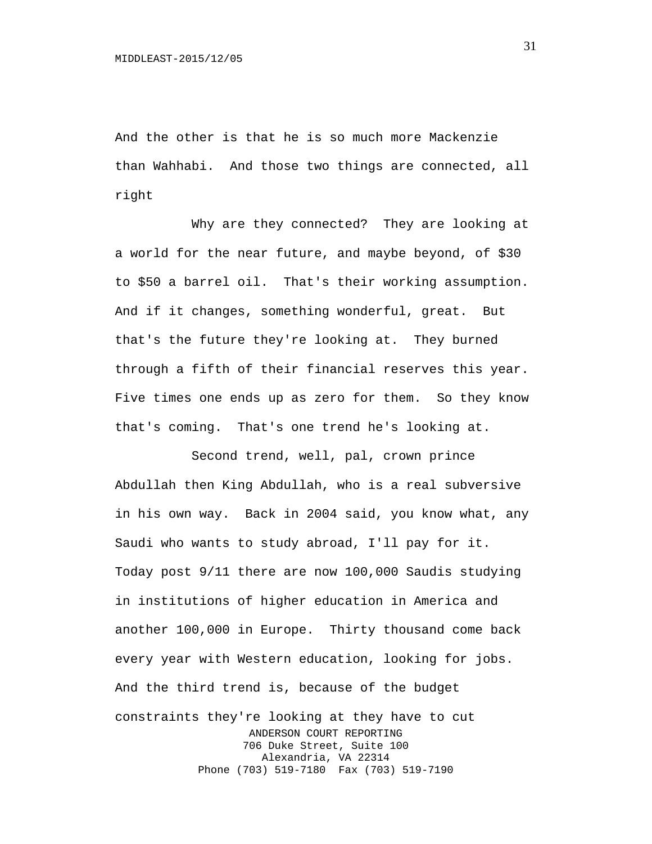And the other is that he is so much more Mackenzie than Wahhabi. And those two things are connected, all right

Why are they connected? They are looking at a world for the near future, and maybe beyond, of \$30 to \$50 a barrel oil. That's their working assumption. And if it changes, something wonderful, great. But that's the future they're looking at. They burned through a fifth of their financial reserves this year. Five times one ends up as zero for them. So they know that's coming. That's one trend he's looking at.

Second trend, well, pal, crown prince Abdullah then King Abdullah, who is a real subversive in his own way. Back in 2004 said, you know what, any Saudi who wants to study abroad, I'll pay for it. Today post 9/11 there are now 100,000 Saudis studying in institutions of higher education in America and another 100,000 in Europe. Thirty thousand come back every year with Western education, looking for jobs. And the third trend is, because of the budget constraints they're looking at they have to cut ANDERSON COURT REPORTING 706 Duke Street, Suite 100 Alexandria, VA 22314 Phone (703) 519-7180 Fax (703) 519-7190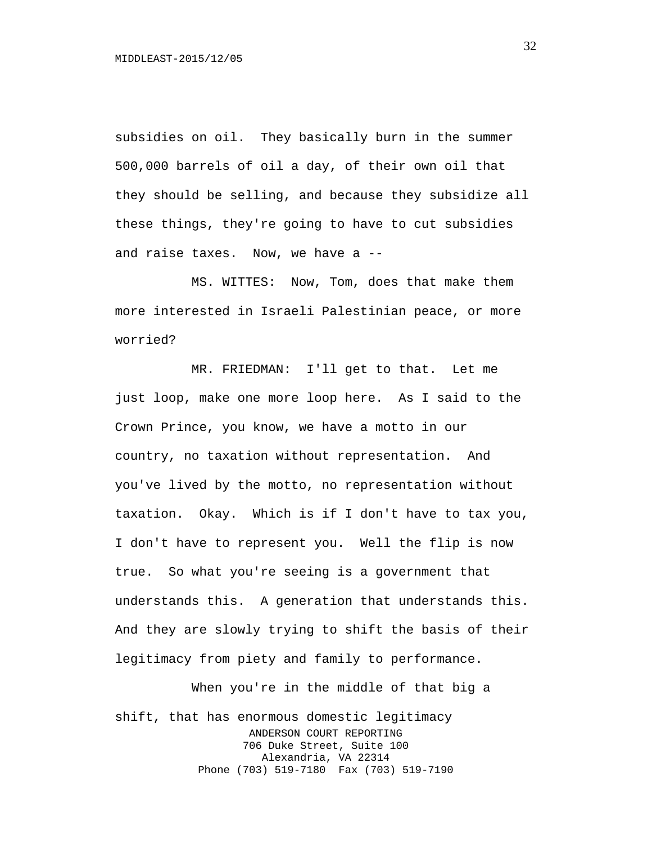subsidies on oil. They basically burn in the summer 500,000 barrels of oil a day, of their own oil that they should be selling, and because they subsidize all these things, they're going to have to cut subsidies and raise taxes. Now, we have a --

MS. WITTES: Now, Tom, does that make them more interested in Israeli Palestinian peace, or more worried?

MR. FRIEDMAN: I'll get to that. Let me just loop, make one more loop here. As I said to the Crown Prince, you know, we have a motto in our country, no taxation without representation. And you've lived by the motto, no representation without taxation. Okay. Which is if I don't have to tax you, I don't have to represent you. Well the flip is now true. So what you're seeing is a government that understands this. A generation that understands this. And they are slowly trying to shift the basis of their legitimacy from piety and family to performance.

When you're in the middle of that big a shift, that has enormous domestic legitimacy ANDERSON COURT REPORTING 706 Duke Street, Suite 100 Alexandria, VA 22314 Phone (703) 519-7180 Fax (703) 519-7190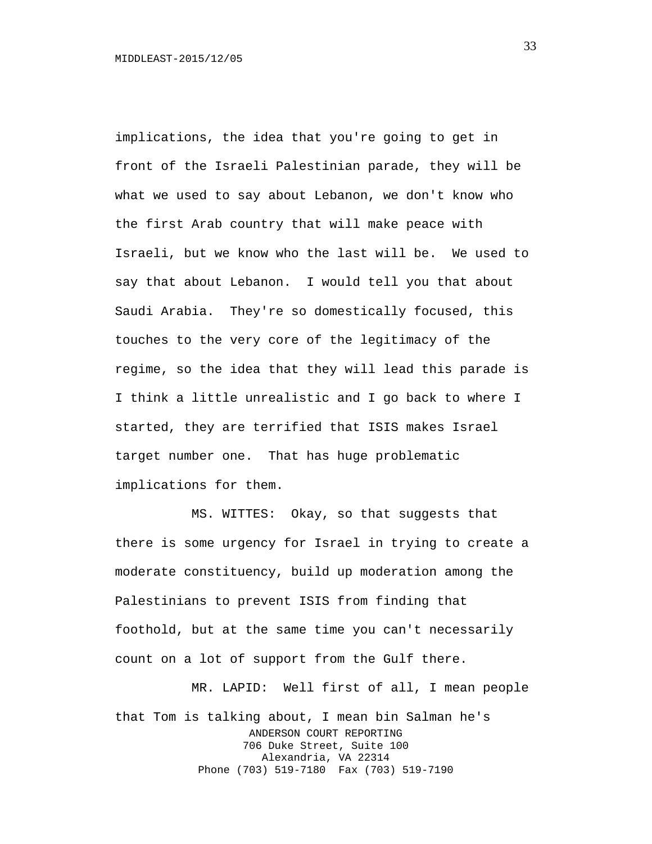implications, the idea that you're going to get in front of the Israeli Palestinian parade, they will be what we used to say about Lebanon, we don't know who the first Arab country that will make peace with Israeli, but we know who the last will be. We used to say that about Lebanon. I would tell you that about Saudi Arabia. They're so domestically focused, this touches to the very core of the legitimacy of the regime, so the idea that they will lead this parade is I think a little unrealistic and I go back to where I started, they are terrified that ISIS makes Israel target number one. That has huge problematic implications for them.

MS. WITTES: Okay, so that suggests that there is some urgency for Israel in trying to create a moderate constituency, build up moderation among the Palestinians to prevent ISIS from finding that foothold, but at the same time you can't necessarily count on a lot of support from the Gulf there.

MR. LAPID: Well first of all, I mean people that Tom is talking about, I mean bin Salman he's ANDERSON COURT REPORTING 706 Duke Street, Suite 100 Alexandria, VA 22314 Phone (703) 519-7180 Fax (703) 519-7190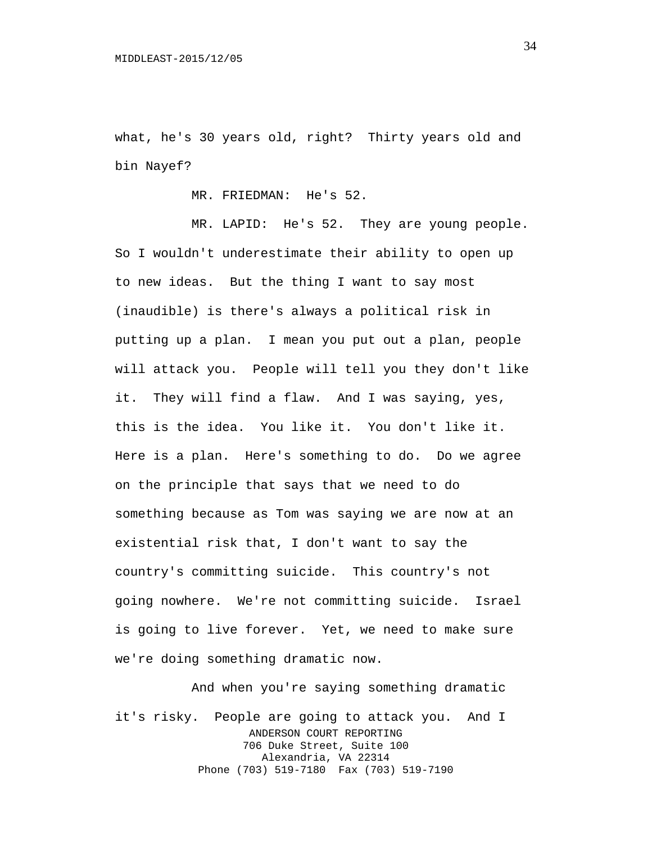what, he's 30 years old, right? Thirty years old and bin Nayef?

MR. FRIEDMAN: He's 52.

MR. LAPID: He's 52. They are young people. So I wouldn't underestimate their ability to open up to new ideas. But the thing I want to say most (inaudible) is there's always a political risk in putting up a plan. I mean you put out a plan, people will attack you. People will tell you they don't like it. They will find a flaw. And I was saying, yes, this is the idea. You like it. You don't like it. Here is a plan. Here's something to do. Do we agree on the principle that says that we need to do something because as Tom was saying we are now at an existential risk that, I don't want to say the country's committing suicide. This country's not going nowhere. We're not committing suicide. Israel is going to live forever. Yet, we need to make sure we're doing something dramatic now.

And when you're saying something dramatic it's risky. People are going to attack you. And I ANDERSON COURT REPORTING 706 Duke Street, Suite 100 Alexandria, VA 22314 Phone (703) 519-7180 Fax (703) 519-7190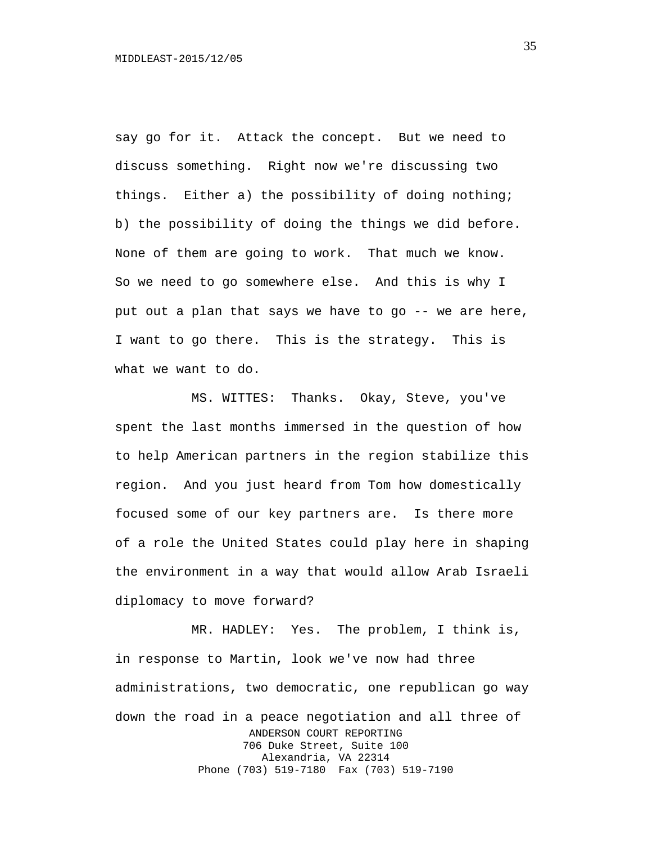say go for it. Attack the concept. But we need to discuss something. Right now we're discussing two things. Either a) the possibility of doing nothing; b) the possibility of doing the things we did before. None of them are going to work. That much we know. So we need to go somewhere else. And this is why I put out a plan that says we have to go  $-$ - we are here, I want to go there. This is the strategy. This is what we want to do.

MS. WITTES: Thanks. Okay, Steve, you've spent the last months immersed in the question of how to help American partners in the region stabilize this region. And you just heard from Tom how domestically focused some of our key partners are. Is there more of a role the United States could play here in shaping the environment in a way that would allow Arab Israeli diplomacy to move forward?

MR. HADLEY: Yes. The problem, I think is, in response to Martin, look we've now had three administrations, two democratic, one republican go way down the road in a peace negotiation and all three of ANDERSON COURT REPORTING 706 Duke Street, Suite 100 Alexandria, VA 22314 Phone (703) 519-7180 Fax (703) 519-7190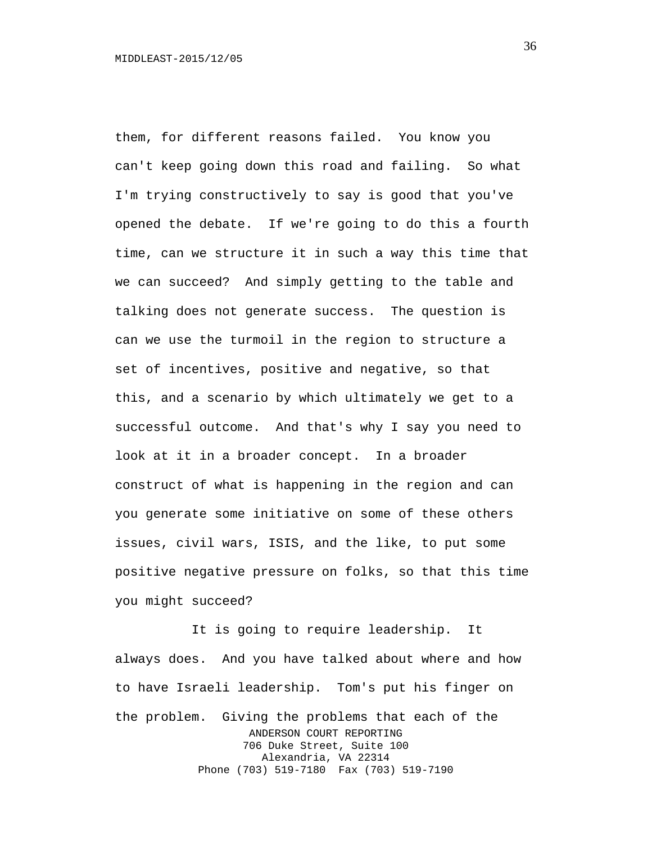them, for different reasons failed. You know you can't keep going down this road and failing. So what I'm trying constructively to say is good that you've opened the debate. If we're going to do this a fourth time, can we structure it in such a way this time that we can succeed? And simply getting to the table and talking does not generate success. The question is can we use the turmoil in the region to structure a set of incentives, positive and negative, so that this, and a scenario by which ultimately we get to a successful outcome. And that's why I say you need to look at it in a broader concept. In a broader construct of what is happening in the region and can you generate some initiative on some of these others issues, civil wars, ISIS, and the like, to put some positive negative pressure on folks, so that this time you might succeed?

It is going to require leadership. It always does. And you have talked about where and how to have Israeli leadership. Tom's put his finger on the problem. Giving the problems that each of the ANDERSON COURT REPORTING 706 Duke Street, Suite 100 Alexandria, VA 22314 Phone (703) 519-7180 Fax (703) 519-7190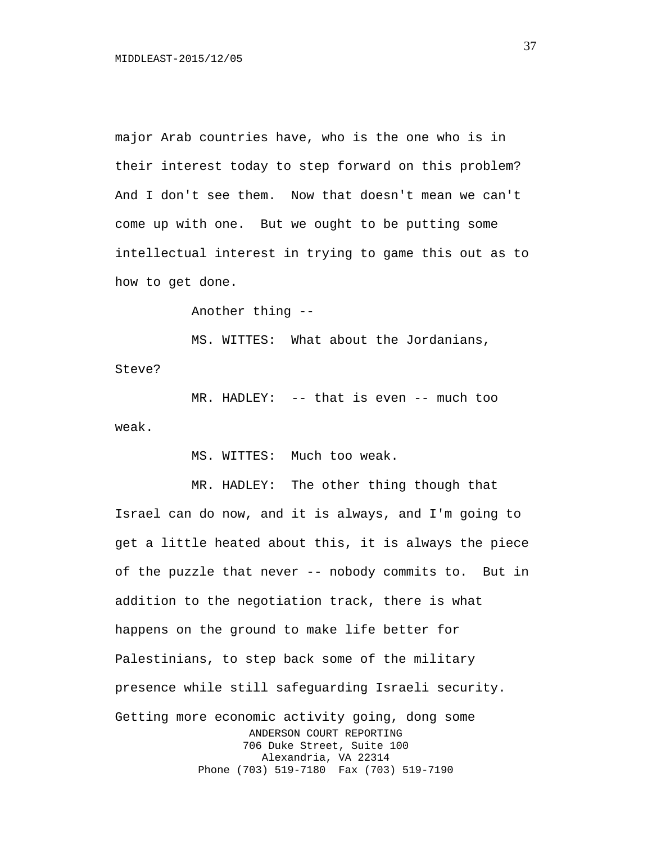major Arab countries have, who is the one who is in their interest today to step forward on this problem? And I don't see them. Now that doesn't mean we can't come up with one. But we ought to be putting some intellectual interest in trying to game this out as to how to get done.

Another thing --

MS. WITTES: What about the Jordanians,

Steve?

MR. HADLEY: -- that is even -- much too weak.

MS. WITTES: Much too weak.

MR. HADLEY: The other thing though that

Israel can do now, and it is always, and I'm going to get a little heated about this, it is always the piece of the puzzle that never -- nobody commits to. But in addition to the negotiation track, there is what happens on the ground to make life better for Palestinians, to step back some of the military presence while still safeguarding Israeli security. Getting more economic activity going, dong some ANDERSON COURT REPORTING 706 Duke Street, Suite 100 Alexandria, VA 22314 Phone (703) 519-7180 Fax (703) 519-7190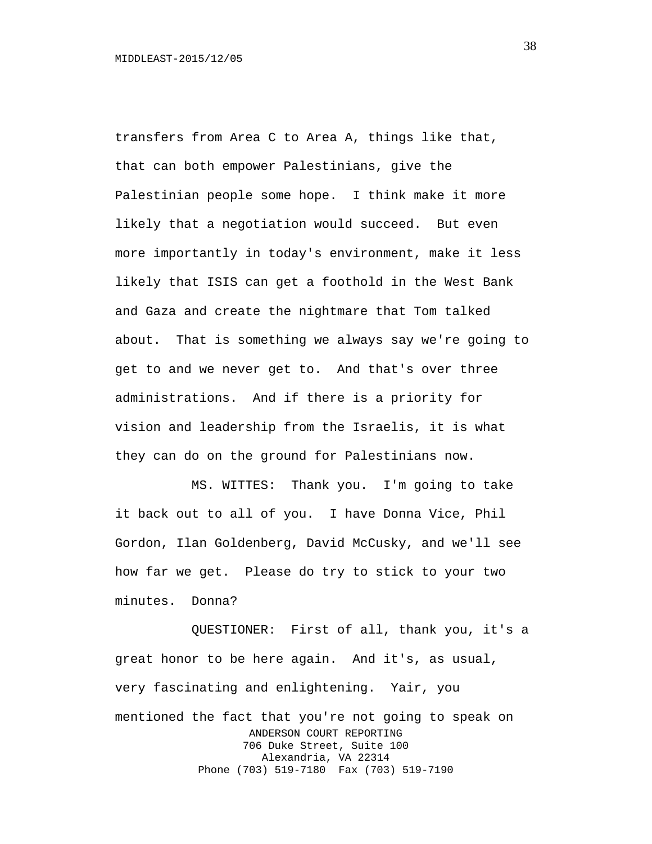transfers from Area C to Area A, things like that, that can both empower Palestinians, give the Palestinian people some hope. I think make it more likely that a negotiation would succeed. But even more importantly in today's environment, make it less likely that ISIS can get a foothold in the West Bank and Gaza and create the nightmare that Tom talked about. That is something we always say we're going to get to and we never get to. And that's over three administrations. And if there is a priority for vision and leadership from the Israelis, it is what they can do on the ground for Palestinians now.

MS. WITTES: Thank you. I'm going to take it back out to all of you. I have Donna Vice, Phil Gordon, Ilan Goldenberg, David McCusky, and we'll see how far we get. Please do try to stick to your two minutes. Donna?

QUESTIONER: First of all, thank you, it's a great honor to be here again. And it's, as usual, very fascinating and enlightening. Yair, you mentioned the fact that you're not going to speak on ANDERSON COURT REPORTING 706 Duke Street, Suite 100 Alexandria, VA 22314 Phone (703) 519-7180 Fax (703) 519-7190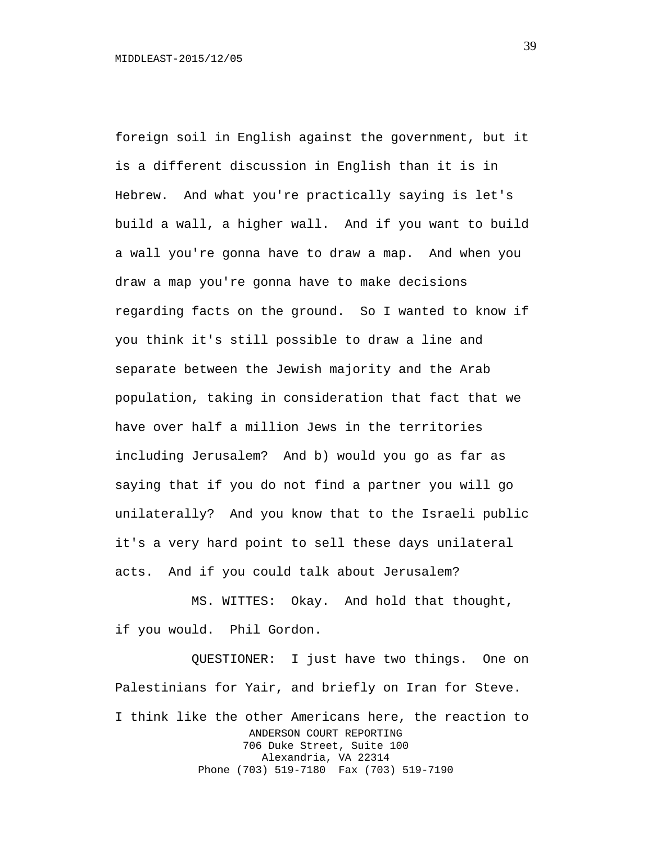foreign soil in English against the government, but it is a different discussion in English than it is in Hebrew. And what you're practically saying is let's build a wall, a higher wall. And if you want to build a wall you're gonna have to draw a map. And when you draw a map you're gonna have to make decisions regarding facts on the ground. So I wanted to know if you think it's still possible to draw a line and separate between the Jewish majority and the Arab population, taking in consideration that fact that we have over half a million Jews in the territories including Jerusalem? And b) would you go as far as saying that if you do not find a partner you will go unilaterally? And you know that to the Israeli public it's a very hard point to sell these days unilateral acts. And if you could talk about Jerusalem?

MS. WITTES: Okay. And hold that thought, if you would. Phil Gordon.

QUESTIONER: I just have two things. One on Palestinians for Yair, and briefly on Iran for Steve. I think like the other Americans here, the reaction to ANDERSON COURT REPORTING 706 Duke Street, Suite 100 Alexandria, VA 22314 Phone (703) 519-7180 Fax (703) 519-7190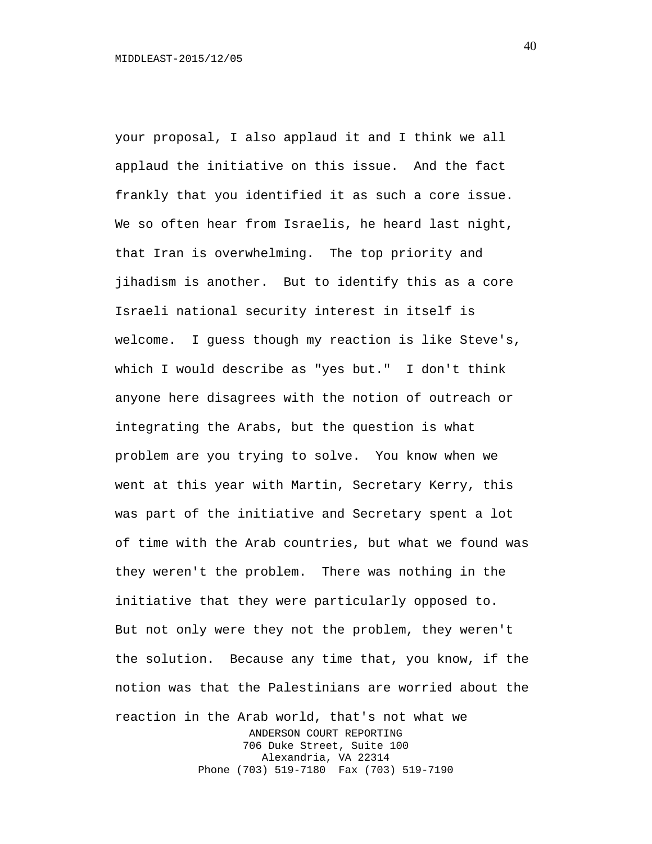your proposal, I also applaud it and I think we all applaud the initiative on this issue. And the fact frankly that you identified it as such a core issue. We so often hear from Israelis, he heard last night, that Iran is overwhelming. The top priority and jihadism is another. But to identify this as a core Israeli national security interest in itself is welcome. I guess though my reaction is like Steve's, which I would describe as "yes but." I don't think anyone here disagrees with the notion of outreach or integrating the Arabs, but the question is what problem are you trying to solve. You know when we went at this year with Martin, Secretary Kerry, this was part of the initiative and Secretary spent a lot of time with the Arab countries, but what we found was they weren't the problem. There was nothing in the initiative that they were particularly opposed to. But not only were they not the problem, they weren't the solution. Because any time that, you know, if the notion was that the Palestinians are worried about the reaction in the Arab world, that's not what we ANDERSON COURT REPORTING 706 Duke Street, Suite 100 Alexandria, VA 22314 Phone (703) 519-7180 Fax (703) 519-7190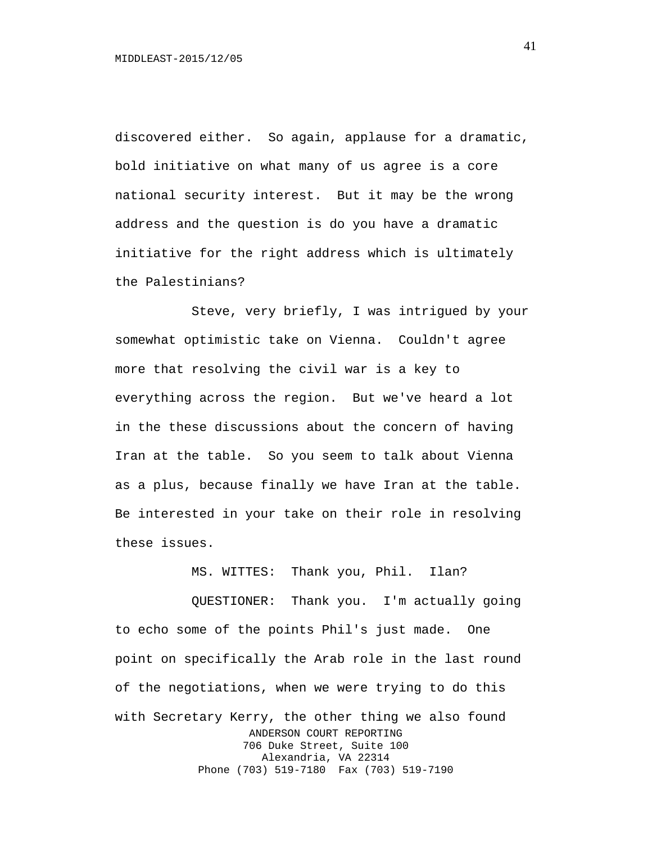discovered either. So again, applause for a dramatic, bold initiative on what many of us agree is a core national security interest. But it may be the wrong address and the question is do you have a dramatic initiative for the right address which is ultimately the Palestinians?

Steve, very briefly, I was intrigued by your somewhat optimistic take on Vienna. Couldn't agree more that resolving the civil war is a key to everything across the region. But we've heard a lot in the these discussions about the concern of having Iran at the table. So you seem to talk about Vienna as a plus, because finally we have Iran at the table. Be interested in your take on their role in resolving these issues.

MS. WITTES: Thank you, Phil. Ilan?

QUESTIONER: Thank you. I'm actually going to echo some of the points Phil's just made. One point on specifically the Arab role in the last round of the negotiations, when we were trying to do this with Secretary Kerry, the other thing we also found ANDERSON COURT REPORTING 706 Duke Street, Suite 100 Alexandria, VA 22314 Phone (703) 519-7180 Fax (703) 519-7190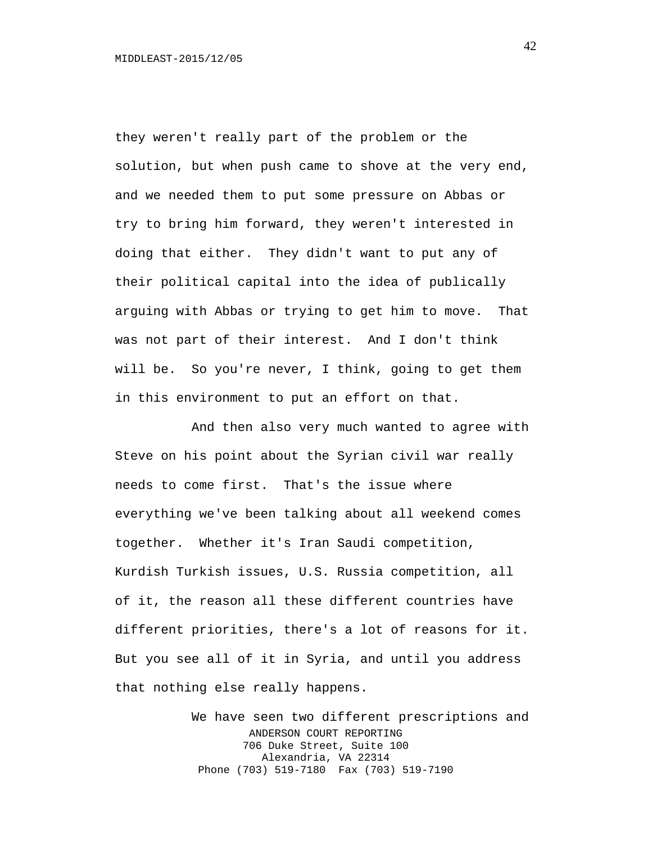they weren't really part of the problem or the solution, but when push came to shove at the very end, and we needed them to put some pressure on Abbas or try to bring him forward, they weren't interested in doing that either. They didn't want to put any of their political capital into the idea of publically arguing with Abbas or trying to get him to move. That was not part of their interest. And I don't think will be. So you're never, I think, going to get them in this environment to put an effort on that.

And then also very much wanted to agree with Steve on his point about the Syrian civil war really needs to come first. That's the issue where everything we've been talking about all weekend comes together. Whether it's Iran Saudi competition, Kurdish Turkish issues, U.S. Russia competition, all of it, the reason all these different countries have different priorities, there's a lot of reasons for it. But you see all of it in Syria, and until you address that nothing else really happens.

> We have seen two different prescriptions and ANDERSON COURT REPORTING 706 Duke Street, Suite 100 Alexandria, VA 22314 Phone (703) 519-7180 Fax (703) 519-7190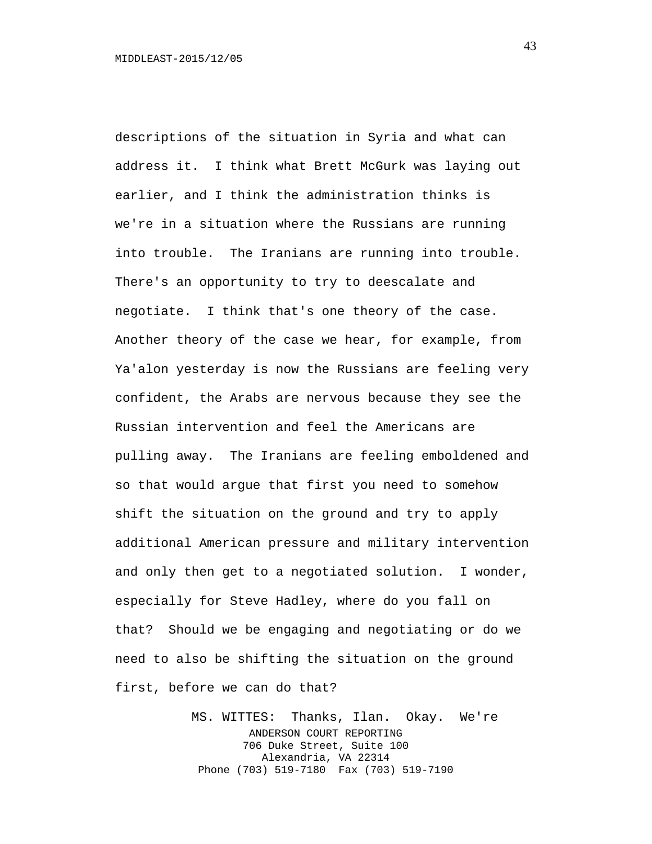descriptions of the situation in Syria and what can address it. I think what Brett McGurk was laying out earlier, and I think the administration thinks is we're in a situation where the Russians are running into trouble. The Iranians are running into trouble. There's an opportunity to try to deescalate and negotiate. I think that's one theory of the case. Another theory of the case we hear, for example, from Ya'alon yesterday is now the Russians are feeling very confident, the Arabs are nervous because they see the Russian intervention and feel the Americans are pulling away. The Iranians are feeling emboldened and so that would argue that first you need to somehow shift the situation on the ground and try to apply additional American pressure and military intervention and only then get to a negotiated solution. I wonder, especially for Steve Hadley, where do you fall on that? Should we be engaging and negotiating or do we need to also be shifting the situation on the ground first, before we can do that?

> MS. WITTES: Thanks, Ilan. Okay. We're ANDERSON COURT REPORTING 706 Duke Street, Suite 100 Alexandria, VA 22314 Phone (703) 519-7180 Fax (703) 519-7190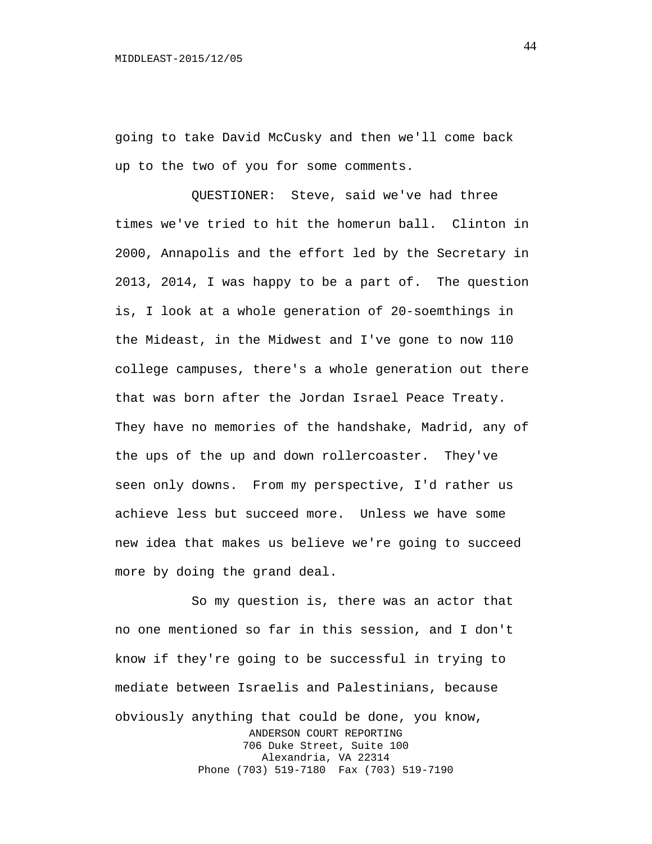going to take David McCusky and then we'll come back up to the two of you for some comments.

QUESTIONER: Steve, said we've had three times we've tried to hit the homerun ball. Clinton in 2000, Annapolis and the effort led by the Secretary in 2013, 2014, I was happy to be a part of. The question is, I look at a whole generation of 20-soemthings in the Mideast, in the Midwest and I've gone to now 110 college campuses, there's a whole generation out there that was born after the Jordan Israel Peace Treaty. They have no memories of the handshake, Madrid, any of the ups of the up and down rollercoaster. They've seen only downs. From my perspective, I'd rather us achieve less but succeed more. Unless we have some new idea that makes us believe we're going to succeed more by doing the grand deal.

So my question is, there was an actor that no one mentioned so far in this session, and I don't know if they're going to be successful in trying to mediate between Israelis and Palestinians, because obviously anything that could be done, you know, ANDERSON COURT REPORTING 706 Duke Street, Suite 100 Alexandria, VA 22314 Phone (703) 519-7180 Fax (703) 519-7190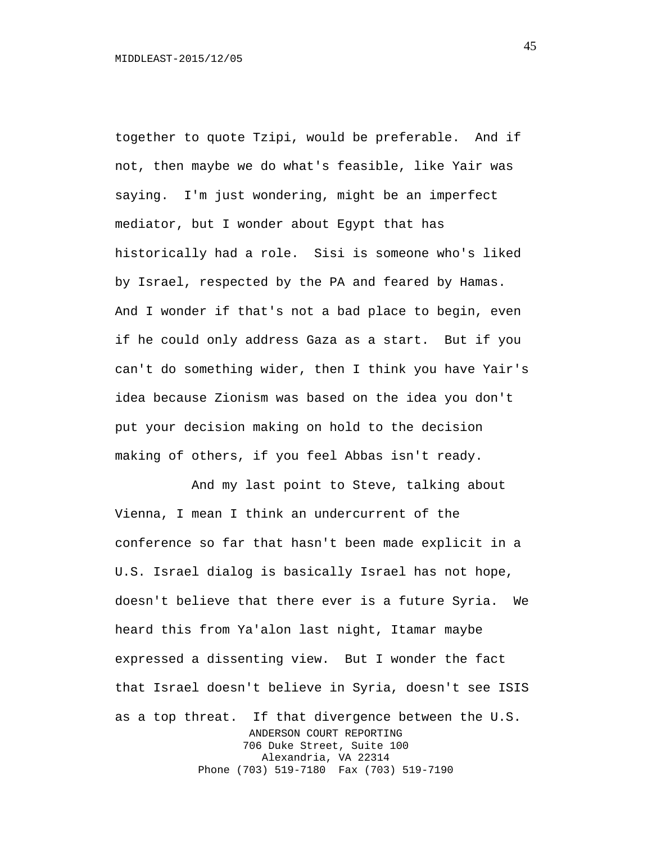together to quote Tzipi, would be preferable. And if not, then maybe we do what's feasible, like Yair was saying. I'm just wondering, might be an imperfect mediator, but I wonder about Egypt that has historically had a role. Sisi is someone who's liked by Israel, respected by the PA and feared by Hamas. And I wonder if that's not a bad place to begin, even if he could only address Gaza as a start. But if you can't do something wider, then I think you have Yair's idea because Zionism was based on the idea you don't put your decision making on hold to the decision making of others, if you feel Abbas isn't ready.

And my last point to Steve, talking about Vienna, I mean I think an undercurrent of the conference so far that hasn't been made explicit in a U.S. Israel dialog is basically Israel has not hope, doesn't believe that there ever is a future Syria. We heard this from Ya'alon last night, Itamar maybe expressed a dissenting view. But I wonder the fact that Israel doesn't believe in Syria, doesn't see ISIS as a top threat. If that divergence between the U.S. ANDERSON COURT REPORTING 706 Duke Street, Suite 100 Alexandria, VA 22314 Phone (703) 519-7180 Fax (703) 519-7190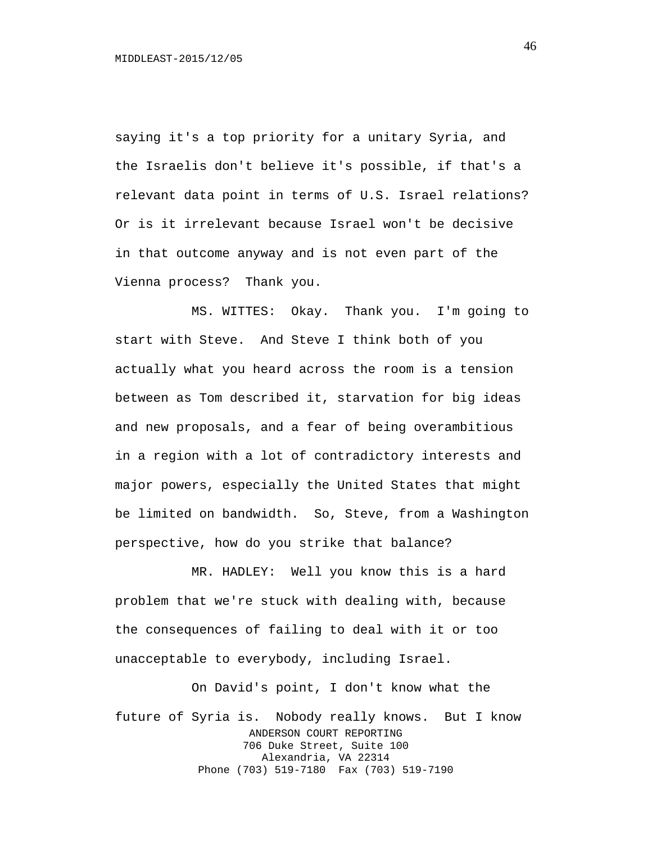saying it's a top priority for a unitary Syria, and the Israelis don't believe it's possible, if that's a relevant data point in terms of U.S. Israel relations? Or is it irrelevant because Israel won't be decisive in that outcome anyway and is not even part of the Vienna process? Thank you.

MS. WITTES: Okay. Thank you. I'm going to start with Steve. And Steve I think both of you actually what you heard across the room is a tension between as Tom described it, starvation for big ideas and new proposals, and a fear of being overambitious in a region with a lot of contradictory interests and major powers, especially the United States that might be limited on bandwidth. So, Steve, from a Washington perspective, how do you strike that balance?

MR. HADLEY: Well you know this is a hard problem that we're stuck with dealing with, because the consequences of failing to deal with it or too unacceptable to everybody, including Israel.

On David's point, I don't know what the future of Syria is. Nobody really knows. But I know ANDERSON COURT REPORTING 706 Duke Street, Suite 100 Alexandria, VA 22314 Phone (703) 519-7180 Fax (703) 519-7190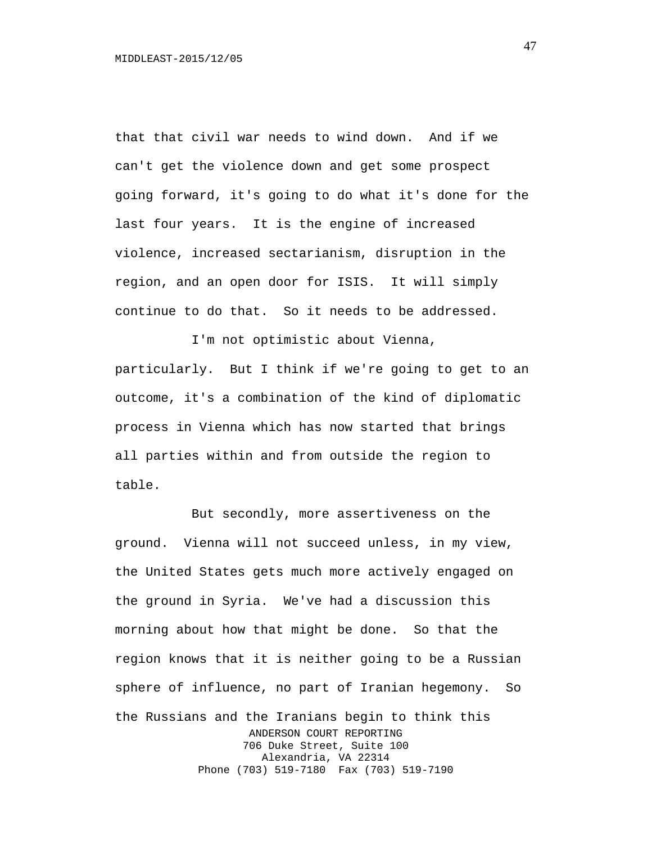that that civil war needs to wind down. And if we can't get the violence down and get some prospect going forward, it's going to do what it's done for the last four years. It is the engine of increased violence, increased sectarianism, disruption in the region, and an open door for ISIS. It will simply continue to do that. So it needs to be addressed.

I'm not optimistic about Vienna, particularly. But I think if we're going to get to an outcome, it's a combination of the kind of diplomatic process in Vienna which has now started that brings all parties within and from outside the region to table.

But secondly, more assertiveness on the ground. Vienna will not succeed unless, in my view, the United States gets much more actively engaged on the ground in Syria. We've had a discussion this morning about how that might be done. So that the region knows that it is neither going to be a Russian sphere of influence, no part of Iranian hegemony. So the Russians and the Iranians begin to think this ANDERSON COURT REPORTING 706 Duke Street, Suite 100 Alexandria, VA 22314 Phone (703) 519-7180 Fax (703) 519-7190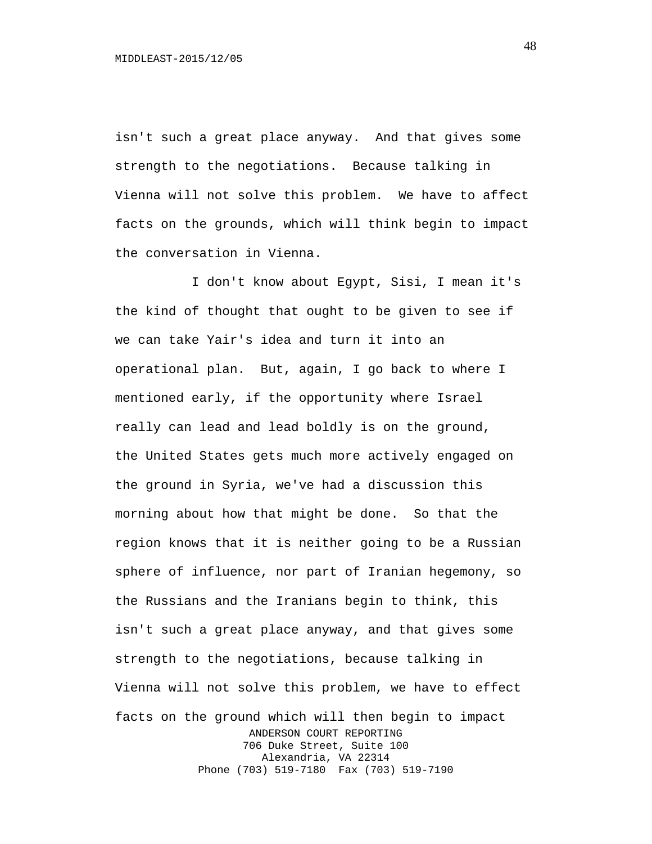isn't such a great place anyway. And that gives some strength to the negotiations. Because talking in Vienna will not solve this problem. We have to affect facts on the grounds, which will think begin to impact the conversation in Vienna.

I don't know about Egypt, Sisi, I mean it's the kind of thought that ought to be given to see if we can take Yair's idea and turn it into an operational plan. But, again, I go back to where I mentioned early, if the opportunity where Israel really can lead and lead boldly is on the ground, the United States gets much more actively engaged on the ground in Syria, we've had a discussion this morning about how that might be done. So that the region knows that it is neither going to be a Russian sphere of influence, nor part of Iranian hegemony, so the Russians and the Iranians begin to think, this isn't such a great place anyway, and that gives some strength to the negotiations, because talking in Vienna will not solve this problem, we have to effect facts on the ground which will then begin to impact ANDERSON COURT REPORTING 706 Duke Street, Suite 100 Alexandria, VA 22314 Phone (703) 519-7180 Fax (703) 519-7190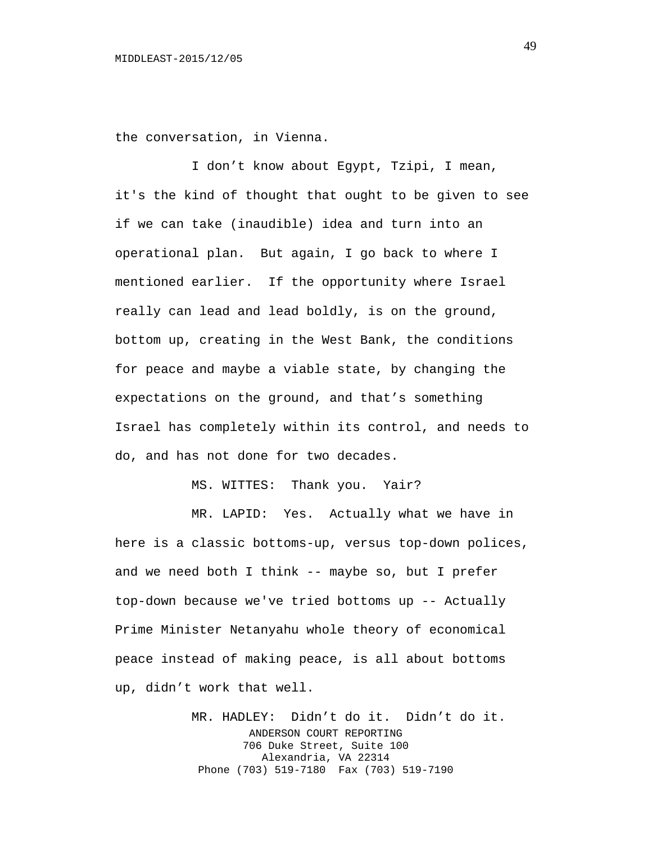the conversation, in Vienna.

I don't know about Egypt, Tzipi, I mean, it's the kind of thought that ought to be given to see if we can take (inaudible) idea and turn into an operational plan. But again, I go back to where I mentioned earlier. If the opportunity where Israel really can lead and lead boldly, is on the ground, bottom up, creating in the West Bank, the conditions for peace and maybe a viable state, by changing the expectations on the ground, and that's something Israel has completely within its control, and needs to do, and has not done for two decades.

MS. WITTES: Thank you. Yair?

MR. LAPID: Yes. Actually what we have in here is a classic bottoms-up, versus top-down polices, and we need both I think -- maybe so, but I prefer top-down because we've tried bottoms up -- Actually Prime Minister Netanyahu whole theory of economical peace instead of making peace, is all about bottoms up, didn't work that well.

> MR. HADLEY: Didn't do it. Didn't do it. ANDERSON COURT REPORTING 706 Duke Street, Suite 100 Alexandria, VA 22314 Phone (703) 519-7180 Fax (703) 519-7190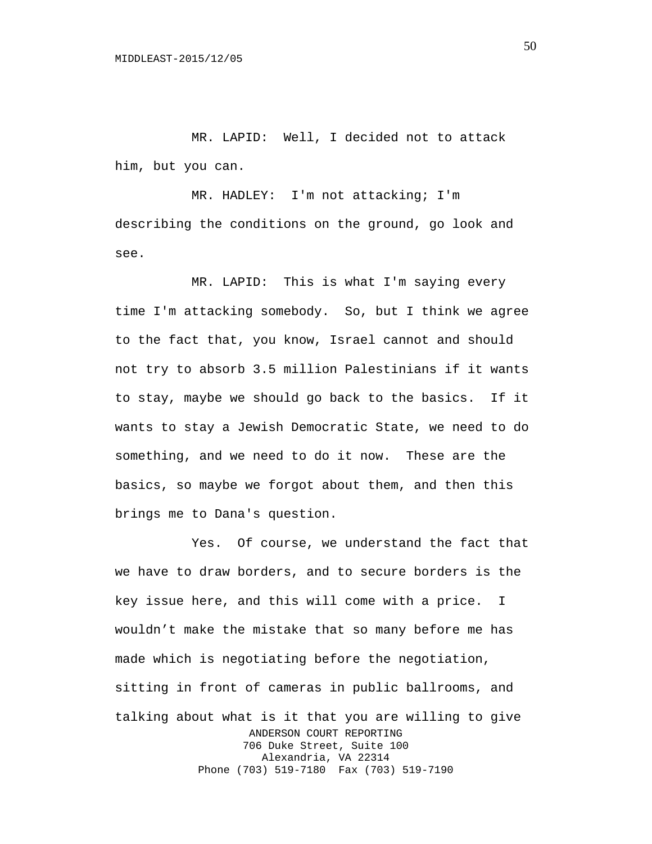MR. LAPID: Well, I decided not to attack him, but you can.

MR. HADLEY: I'm not attacking; I'm describing the conditions on the ground, go look and see.

MR. LAPID: This is what I'm saying every time I'm attacking somebody. So, but I think we agree to the fact that, you know, Israel cannot and should not try to absorb 3.5 million Palestinians if it wants to stay, maybe we should go back to the basics. If it wants to stay a Jewish Democratic State, we need to do something, and we need to do it now. These are the basics, so maybe we forgot about them, and then this brings me to Dana's question.

Yes. Of course, we understand the fact that we have to draw borders, and to secure borders is the key issue here, and this will come with a price. I wouldn't make the mistake that so many before me has made which is negotiating before the negotiation, sitting in front of cameras in public ballrooms, and talking about what is it that you are willing to give ANDERSON COURT REPORTING 706 Duke Street, Suite 100 Alexandria, VA 22314 Phone (703) 519-7180 Fax (703) 519-7190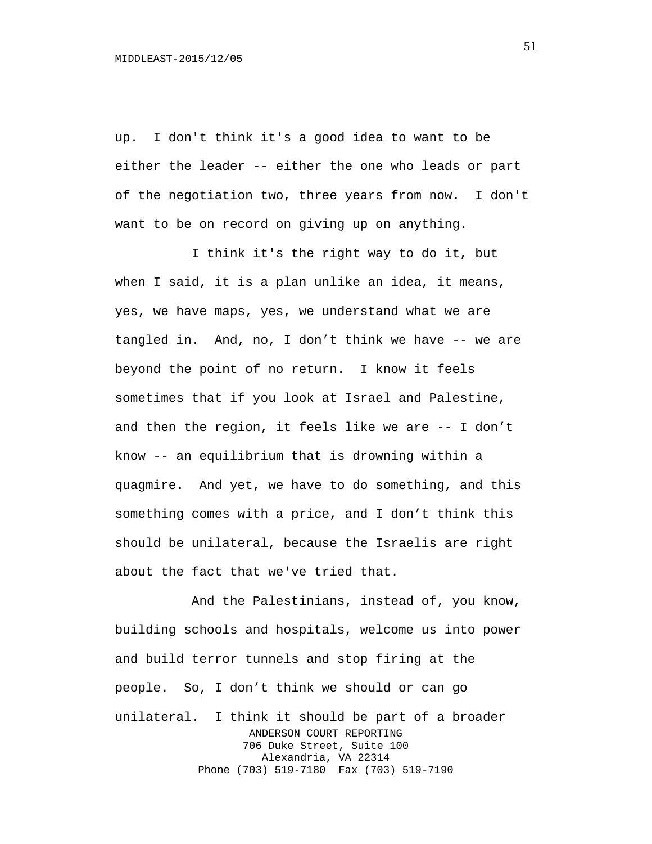up. I don't think it's a good idea to want to be either the leader -- either the one who leads or part of the negotiation two, three years from now. I don't want to be on record on giving up on anything.

I think it's the right way to do it, but when I said, it is a plan unlike an idea, it means, yes, we have maps, yes, we understand what we are tangled in. And, no, I don't think we have -- we are beyond the point of no return. I know it feels sometimes that if you look at Israel and Palestine, and then the region, it feels like we are -- I don't know -- an equilibrium that is drowning within a quagmire. And yet, we have to do something, and this something comes with a price, and I don't think this should be unilateral, because the Israelis are right about the fact that we've tried that.

And the Palestinians, instead of, you know, building schools and hospitals, welcome us into power and build terror tunnels and stop firing at the people. So, I don't think we should or can go unilateral. I think it should be part of a broader ANDERSON COURT REPORTING 706 Duke Street, Suite 100 Alexandria, VA 22314 Phone (703) 519-7180 Fax (703) 519-7190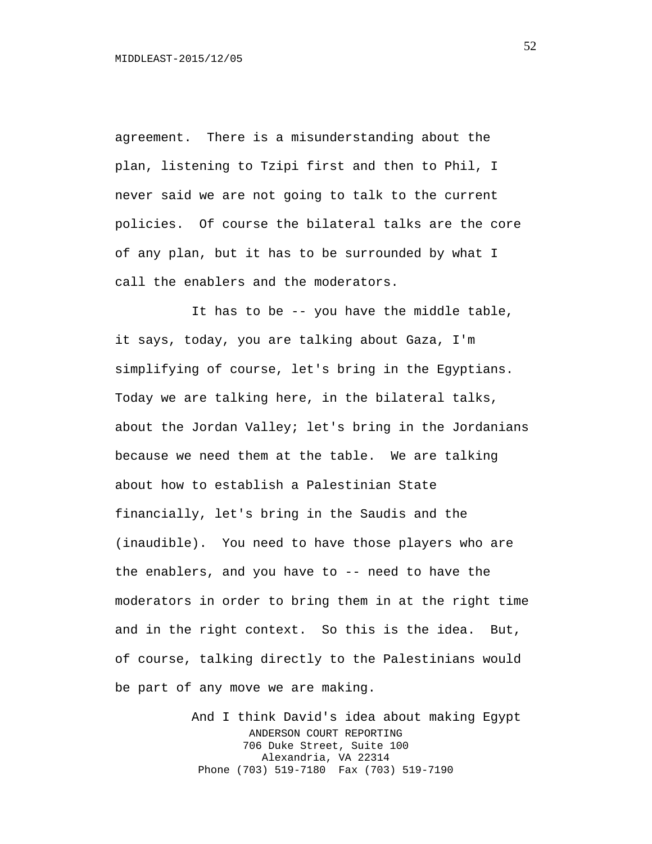agreement. There is a misunderstanding about the plan, listening to Tzipi first and then to Phil, I never said we are not going to talk to the current policies. Of course the bilateral talks are the core of any plan, but it has to be surrounded by what I call the enablers and the moderators.

It has to be -- you have the middle table, it says, today, you are talking about Gaza, I'm simplifying of course, let's bring in the Egyptians. Today we are talking here, in the bilateral talks, about the Jordan Valley; let's bring in the Jordanians because we need them at the table. We are talking about how to establish a Palestinian State financially, let's bring in the Saudis and the (inaudible). You need to have those players who are the enablers, and you have to -- need to have the moderators in order to bring them in at the right time and in the right context. So this is the idea. But, of course, talking directly to the Palestinians would be part of any move we are making.

> And I think David's idea about making Egypt ANDERSON COURT REPORTING 706 Duke Street, Suite 100 Alexandria, VA 22314 Phone (703) 519-7180 Fax (703) 519-7190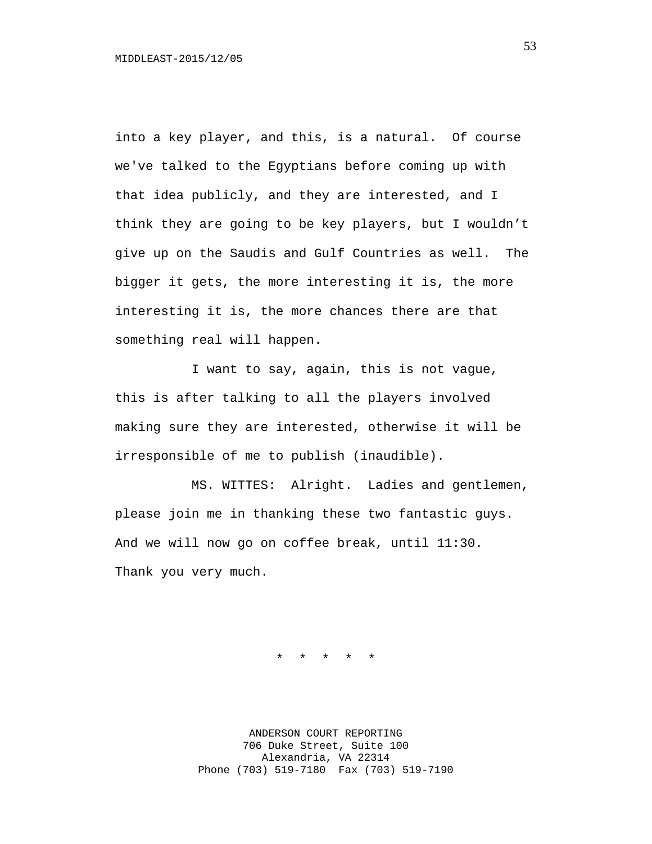into a key player, and this, is a natural. Of course we've talked to the Egyptians before coming up with that idea publicly, and they are interested, and I think they are going to be key players, but I wouldn't give up on the Saudis and Gulf Countries as well. The bigger it gets, the more interesting it is, the more interesting it is, the more chances there are that something real will happen.

I want to say, again, this is not vague, this is after talking to all the players involved making sure they are interested, otherwise it will be irresponsible of me to publish (inaudible).

MS. WITTES: Alright. Ladies and gentlemen, please join me in thanking these two fantastic guys. And we will now go on coffee break, until 11:30. Thank you very much.

\* \* \* \* \*